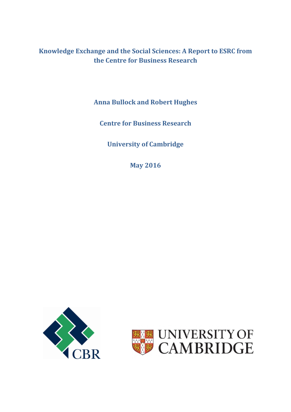**Knowledge Exchange and the Social Sciences: A Report to ESRC from the Centre for Business Research**

**Anna Bullock and Robert Hughes**

**Centre for Business Research**

**University of Cambridge**

**May 2016**



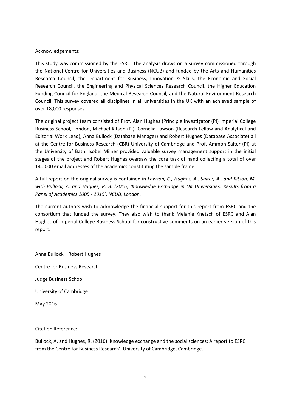### Acknowledgements:

This study was commissioned by the ESRC. The analysis draws on a survey commissioned through the National Centre for Universities and Business (NCUB) and funded by the Arts and Humanities Research Council, the Department for Business, Innovation & Skills, the Economic and Social Research Council, the Engineering and Physical Sciences Research Council, the Higher Education Funding Council for England, the Medical Research Council, and the Natural Environment Research Council. This survey covered all disciplines in all universities in the UK with an achieved sample of over 18,000 responses.

The original project team consisted of Prof. Alan Hughes (Principle Investigator (PI) Imperial College Business School, London, Michael Kitson (PI), Cornelia Lawson (Research Fellow and Analytical and Editorial Work Lead), Anna Bullock (Database Manager) and Robert Hughes (Database Associate) all at the Centre for Business Research (CBR) University of Cambridge and Prof. Ammon Salter (PI) at the University of Bath. Isobel Milner provided valuable survey management support in the initial stages of the project and Robert Hughes oversaw the core task of hand collecting a total of over 140,000 email addresses of the academics constituting the sample frame.

A full report on the original survey is contained in *Lawson, C., Hughes, A., Salter, A., and Kitson, M. with Bullock, A. and Hughes, R. B. (2016) 'Knowledge Exchange in UK Universities: Results from a Panel of Academics 2005 - 2015', NCUB, London.*

The current authors wish to acknowledge the financial support for this report from ESRC and the consortium that funded the survey. They also wish to thank Melanie Knetsch of ESRC and Alan Hughes of Imperial College Business School for constructive comments on an earlier version of this report.

Anna Bullock Robert Hughes Centre for Business Research Judge Business School University of Cambridge May 2016

Citation Reference:

Bullock, A. and Hughes, R. (2016) 'Knowledge exchange and the social sciences: A report to ESRC from the Centre for Business Research', University of Cambridge, Cambridge.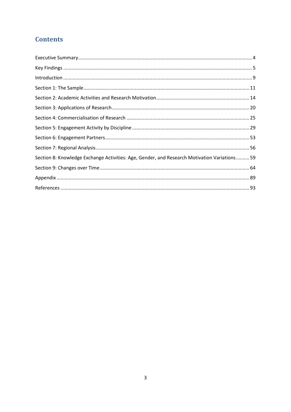# **Contents**

| Section 8: Knowledge Exchange Activities: Age, Gender, and Research Motivation Variations59 |  |
|---------------------------------------------------------------------------------------------|--|
|                                                                                             |  |
|                                                                                             |  |
|                                                                                             |  |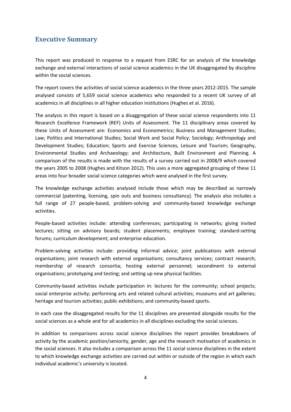## <span id="page-3-0"></span>**Executive Summary**

This report was produced in response to a request from ESRC for an analysis of the knowledge exchange and external interactions of social science academics in the UK disaggregated by discipline within the social sciences.

The report covers the activities of social science academics in the three years 2012-2015. The sample analysed consists of 5,659 social science academics who responded to a recent UK survey of all academics in all disciplines in all higher education institutions (Hughes et al. 2016).

The analysis in this report is based on a disaggregation of these social science respondents into 11 Research Excellence Framework (REF) Units of Assessment. The 11 disciplinary areas covered by these Units of Assessment are: Economics and Econometrics; Business and Management Studies; Law; Politics and International Studies; Social Work and Social Policy; Sociology; Anthropology and Development Studies; Education; Sports and Exercise Sciences, Leisure and Tourism; Geography, Environmental Studies and Archaeology; and Architecture, Built Environment and Planning. A comparison of the results is made with the results of a survey carried out in 2008/9 which covered the years 2005 to 2008 (Hughes and Kitson 2012). This uses a more aggregated grouping of these 11 areas into four broader social science categories which were analysed in the first survey.

The knowledge exchange activities analysed include those which may be described as narrowly commercial (patenting, licensing, spin outs and business consultancy). The analysis also includes a full range of 27 people-based, problem-solving and community-based knowledge exchange activities.

People-based activities include: attending conferences; participating in networks; giving invited lectures; sitting on advisory boards; student placements; employee training; standard-setting forums; curriculum development; and enterprise education.

Problem-solving activities include: providing informal advice; joint publications with external organisations; joint research with external organisations; consultancy services; contract research; membership of research consortia; hosting external personnel; secondment to external organisations; prototyping and testing; and setting up new physical facilities.

Community-based activities include participation in: lectures for the community; school projects; social enterprise activity; performing arts and related cultural activities; museums and art galleries; heritage and tourism activities; public exhibitions; and community-based sports.

In each case the disaggregated results for the 11 disciplines are presented alongside results for the social sciences as a whole and for all academics in all disciplines excluding the social sciences.

In addition to comparisons across social science disciplines the report provides breakdowns of activity by the academic position/seniority, gender, age and the research motivation of academics in the social sciences. It also includes a comparison across the 11 social science disciplines in the extent to which knowledge exchange activities are carried out within or outside of the region in which each individual academic's university is located.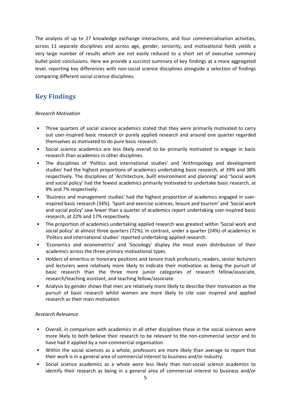The analysis of up to 27 knowledge exchange interactions, and four commercialisation activities, across 11 separate disciplines and across age, gender, seniority, and motivational fields yields a very large number of results which are not easily reduced to a short set of executive summary bullet point conclusions. Here we provide a succinct summary of key findings at a more aggregated level, reporting key differences with non-social science disciplines alongside a selection of findings comparing different social science disciplines.

## <span id="page-4-0"></span>**Key Findings**

## *Research Motivation*

- Three quarters of social science academics stated that they were primarily motivated to carry out user-inspired basic research or purely applied research and around one quarter regarded themselves as motivated to do pure basic research.
- Social science academics are less likely overall to be primarily motivated to engage in basic research than academics in other disciplines.
- The disciplines of 'Politics and international studies' and 'Anthropology and development studies' had the highest proportions of academics undertaking basic research, at 39% and 38% respectively. The disciplines of 'Architecture, built environment and planning' and 'Social work and social policy' had the fewest academics primarily motivated to undertake basic research, at 9% and 7% respectively.
- 'Business and management studies' had the highest proportion of academics engaged in userinspired basic research (34%). 'Sport and exercise sciences, leisure and tourism' and 'Social work and social policy' saw fewer than a quarter of academics report undertaking user-inspired basic research, at 22% and 17% respectively.
- The proportion of academics undertaking applied research was greatest within 'Social work and social policy' at almost three quarters (72%). In contrast, under a quarter (24%) of academics in 'Politics and international studies' reported undertaking applied research.
- 'Economics and econometrics' and 'Sociology' display the most even distribution of their academics across the three primary motivational types.
- Holders of emeritus or honorary positions and tenure track professors, readers, senior lecturers and lecturers were relatively more likely to indicate their motivation as being the pursuit of basic research than the three more junior categories of research fellow/associate, research/teaching assistant, and teaching fellow/associate.
- Analysis by gender shows that men are relatively more likely to describe their motivation as the pursuit of basic research whilst women are more likely to cite user inspired and applied research as their main motivation.

## *Research Relevance*

- Overall, in comparison with academics in all other disciplines those in the social sciences were more likely to both believe their research to be relevant to the non-commercial sector and to have had it applied by a non-commercial organisation.
- Within the social sciences as a whole, professors are more likely than average to report that their work is in a general area of commercial interest to business and/or industry.
- Social science academics as a whole were less likely than non-social science academics to identify their research as being in a general area of commercial interest to business and/or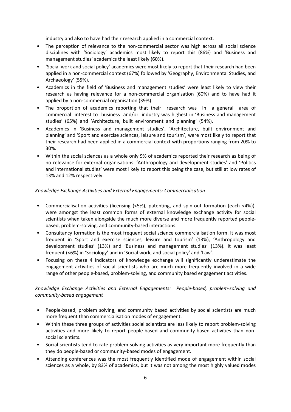industry and also to have had their research applied in a commercial context.

- The perception of relevance to the non-commercial sector was high across all social science disciplines with 'Sociology' academics most likely to report this (86%) and 'Business and management studies' academics the least likely (60%).
- 'Social work and social policy' academics were most likely to report that their research had been applied in a non-commercial context (67%) followed by 'Geography, Environmental Studies, and Archaeology' (55%).
- Academics in the field of 'Business and management studies' were least likely to view their research as having relevance for a non-commercial organisation (60%) and to have had it applied by a non-commercial organisation (39%).
- The proportion of academics reporting that their research was in a general area of commercial interest to business and/or industry was highest in 'Business and management studies' (65%) and 'Architecture, built environment and planning' (54%).
- Academics in 'Business and management studies', 'Architecture, built environment and planning' and 'Sport and exercise sciences, leisure and tourism', were most likely to report that their research had been applied in a commercial context with proportions ranging from 20% to 30%.
- Within the social sciences as a whole only 9% of academics reported their research as being of no relevance for external organisations. 'Anthropology and development studies' and 'Politics and international studies' were most likely to report this being the case, but still at low rates of 13% and 12% respectively.

## *Knowledge Exchange Activities and External Engagements: Commercialisation*

- Commercialisation activities (licensing (<5%), patenting, and spin-out formation (each <4%)), were amongst the least common forms of external knowledge exchange activity for social scientists when taken alongside the much more diverse and more frequently reported peoplebased, problem-solving, and community-based interactions.
- Consultancy formation is the most frequent social science commercialisation form. It was most frequent in 'Sport and exercise sciences, leisure and tourism' (13%), 'Anthropology and development studies' (13%) and 'Business and management studies' (13%). It was least frequent (<6%) in 'Sociology' and in 'Social work, and social policy' and 'Law'.
- Focusing on these 4 indicators of knowledge exchange will significantly underestimate the engagement activities of social scientists who are much more frequently involved in a wide range of other people-based, problem-solving, and community based engagement activities.

## *Knowledge Exchange Activities and External Engagements: People-based, problem-solving and community-based engagement*

- People-based, problem solving, and community based activities by social scientists are much more frequent than commercialisation modes of engagement.
- Within these three groups of activities social scientists are less likely to report problem-solving activities and more likely to report people-based and community-based activities than nonsocial scientists.
- Social scientists tend to rate problem-solving activities as very important more frequently than they do people-based or community-based modes of engagement.
- Attending conferences was the most frequently identified mode of engagement within social sciences as a whole, by 83% of academics, but it was not among the most highly valued modes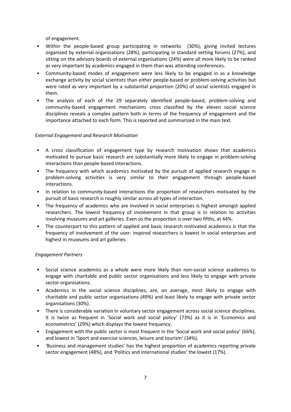of engagement.

- Within the people-based group participating in networks (30%), giving invited lectures organised by external organisations (28%), participating in standard setting forums (27%), and sitting on the advisory boards of external organisations (24%) were all more likely to be ranked as very important by academics engaged in them than was attending conferences.
- Community-based modes of engagement were less likely to be engaged in as a knowledge exchange activity by social scientists than either people-based or problem-solving activities but were rated as very important by a substantial proportion (20%) of social scientists engaged in them.
- The analysis of each of the 29 separately identified people-based, problem-solving and community-based engagement mechanisms cross classified by the eleven social science disciplines reveals a complex pattern both in terms of the frequency of engagement and the importance attached to each form. This is reported and summarized in the main text.

## *External Engagement and Research Motivation*

- A cross classification of engagement type by research motivation shows that academics motivated to pursue basic research are substantially more likely to engage in problem-solving interactions than people-based interactions.
- The frequency with which academics motivated by the pursuit of applied research engage in problem-solving activities is very similar to their engagement through people-based interactions.
- In relation to community-based interactions the proportion of researchers motivated by the pursuit of basic research is roughly similar across all types of interaction.
- The frequency of academics who are involved in social enterprises is highest amongst applied researchers. The lowest frequency of involvement in that group is in relation to activities involving museums and art galleries. Even so the proportion is over two fifths, at 44%.
- The counterpart to this pattern of applied and basic research motivated academics is that the frequency of involvement of the user- inspired researchers is lowest in social enterprises and highest in museums and art galleries.

### *Engagement Partners*

- Social science academics as a whole were more likely than non-social science academics to engage with charitable and public sector organisations and less likely to engage with private sector organisations.
- Academics in the social science disciplines, are, on average, most likely to engage with charitable and public sector organisations (49%) and least likely to engage with private sector organisations (30%).
- There is considerable variation in voluntary sector engagement across social science disciplines. It is twice as frequent in 'Social work and social policy' (73%) as it is in 'Economics and econometrics' (29%) which displays the lowest frequency.
- Engagement with the public sector is most frequent in the 'Social work and social policy' (66%), and lowest in 'Sport and exercise sciences, leisure and tourism' (34%).
- 'Business and management studies' has the highest proportion of academics reporting private sector engagement (48%), and 'Politics and international studies' the lowest (17%).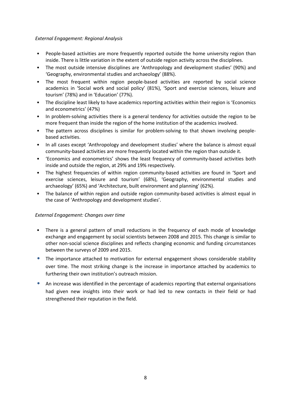### *External Engagement: Regional Analysis*

- People-based activities are more frequently reported outside the home university region than inside. There is little variation in the extent of outside region activity across the disciplines.
- The most outside intensive disciplines are 'Anthropology and development studies' (90%) and 'Geography, environmental studies and archaeology' (88%).
- The most frequent within region people-based activities are reported by social science academics in 'Social work and social policy' (81%), 'Sport and exercise sciences, leisure and tourism' (78%) and in 'Education' (77%).
- The discipline least likely to have academics reporting activities within their region is 'Economics and econometrics' (47%)
- In problem-solving activities there is a general tendency for activities outside the region to be more frequent than inside the region of the home institution of the academics involved.
- The pattern across disciplines is similar for problem-solving to that shown involving peoplebased activities.
- In all cases except 'Anthropology and development studies' where the balance is almost equal community-based activities are more frequently located within the region than outside it.
- 'Economics and econometrics' shows the least frequency of community-based activities both inside and outside the region, at 29% and 19% respectively.
- The highest frequencies of within region community-based activities are found in 'Sport and exercise sciences, leisure and tourism' (68%), 'Geography, environmental studies and archaeology' (65%) and 'Architecture, built environment and planning' (62%).
- The balance of within region and outside region community-based activities is almost equal in the case of 'Anthropology and development studies'.

### *External Engagement: Changes over time*

- There is a general pattern of small reductions in the frequency of each mode of knowledge exchange and engagement by social scientists between 2008 and 2015. This change is similar to other non-social science disciplines and reflects changing economic and funding circumstances between the surveys of 2009 and 2015.
- The importance attached to motivation for external engagement shows considerable stability over time. The most striking change is the increase in importance attached by academics to furthering their own institution's outreach mission.
- An increase was identified in the percentage of academics reporting that external organisations had given new insights into their work or had led to new contacts in their field or had strengthened their reputation in the field.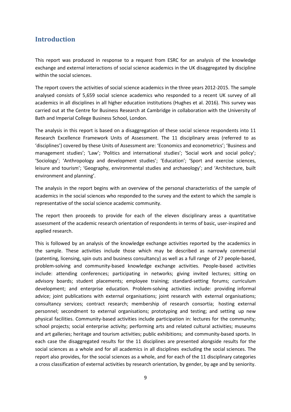## <span id="page-8-0"></span>**Introduction**

This report was produced in response to a request from ESRC for an analysis of the knowledge exchange and external interactions of social science academics in the UK disaggregated by discipline within the social sciences.

The report covers the activities of social science academics in the three years 2012-2015. The sample analysed consists of 5,659 social science academics who responded to a recent UK survey of all academics in all disciplines in all higher education institutions (Hughes et al. 2016). This survey was carried out at the Centre for Business Research at Cambridge in collaboration with the University of Bath and Imperial College Business School, London.

The analysis in this report is based on a disaggregation of these social science respondents into 11 Research Excellence Framework Units of Assessment. The 11 disciplinary areas (referred to as 'disciplines') covered by these Units of Assessment are: 'Economics and econometrics'; 'Business and management studies'; 'Law'; 'Politics and international studies'; 'Social work and social policy'; 'Sociology'; 'Anthropology and development studies'; 'Education'; 'Sport and exercise sciences, leisure and tourism'; 'Geography, environmental studies and archaeology'; and 'Architecture, built environment and planning'.

The analysis in the report begins with an overview of the personal characteristics of the sample of academics in the social sciences who responded to the survey and the extent to which the sample is representative of the social science academic community.

The report then proceeds to provide for each of the eleven disciplinary areas a quantitative assessment of the academic research orientation of respondents in terms of basic, user-inspired and applied research.

This is followed by an analysis of the knowledge exchange activities reported by the academics in the sample. These activities include those which may be described as narrowly commercial (patenting, licensing, spin outs and business consultancy) as well as a full range of 27 people-based, problem-solving and community-based knowledge exchange activities. People-based activities include: attending conferences; participating in networks; giving invited lectures; sitting on advisory boards; student placements; employee training; standard-setting forums; curriculum development; and enterprise education. Problem-solving activities include: providing informal advice; joint publications with external organisations; joint research with external organisations; consultancy services; contract research; membership of research consortia; hosting external personnel; secondment to external organisations; prototyping and testing; and setting up new physical facilities. Community-based activities include participation in: lectures for the community; school projects; social enterprise activity; performing arts and related cultural activities; museums and art galleries; heritage and tourism activities; public exhibitions; and community-based sports. In each case the disaggregated results for the 11 disciplines are presented alongside results for the social sciences as a whole and for all academics in all disciplines excluding the social sciences. The report also provides, for the social sciences as a whole, and for each of the 11 disciplinary categories a cross classification of external activities by research orientation, by gender, by age and by seniority.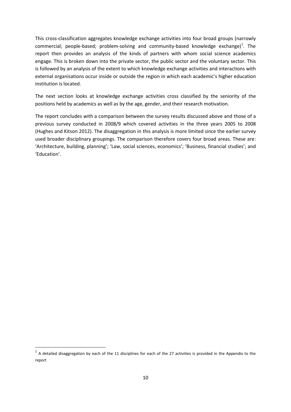This cross-classification aggregates knowledge exchange activities into four broad groups (narrowly commercial; people-based; problem-solving and community-based knowledge exchange)<sup>[1](#page-9-0)</sup>. The report then provides an analysis of the kinds of partners with whom social science academics engage. This is broken down into the private sector, the public sector and the voluntary sector. This is followed by an analysis of the extent to which knowledge exchange activities and interactions with external organisations occur inside or outside the region in which each academic's higher education institution is located.

The next section looks at knowledge exchange activities cross classified by the seniority of the positions held by academics as well as by the age, gender, and their research motivation.

The report concludes with a comparison between the survey results discussed above and those of a previous survey conducted in 2008/9 which covered activities in the three years 2005 to 2008 (Hughes and Kitson 2012). The disaggregation in this analysis is more limited since the earlier survey used broader disciplinary groupings. The comparison therefore covers four broad areas. These are: 'Architecture, building, planning'; 'Law, social sciences, economics'; 'Business, financial studies'; and 'Education'.

1

<span id="page-9-0"></span> $1$  A detailed disaggregation by each of the 11 disciplines for each of the 27 activities is provided in the Appendix to the report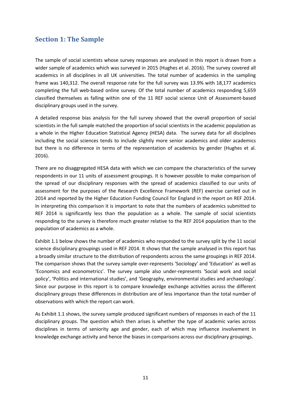## <span id="page-10-0"></span>**Section 1: The Sample**

The sample of social scientists whose survey responses are analysed in this report is drawn from a wider sample of academics which was surveyed in 2015 (Hughes et al. 2016). The survey covered all academics in all disciplines in all UK universities. The total number of academics in the sampling frame was 140,312. The overall response rate for the full survey was 13.9% with 18,177 academics completing the full web-based online survey. Of the total number of academics responding 5,659 classified themselves as falling within one of the 11 REF social science Unit of Assessment-based disciplinary groups used in the survey.

A detailed response bias analysis for the full survey showed that the overall proportion of social scientists in the full sample matched the proportion of social scientists in the academic population as a whole in the Higher Education Statistical Agency (HESA) data. The survey data for all disciplines including the social sciences tends to include slightly more senior academics and older academics but there is no difference in terms of the representation of academics by gender (Hughes et al. 2016).

There are no disaggregated HESA data with which we can compare the characteristics of the survey respondents in our 11 units of assessment groupings. It is however possible to make comparison of the spread of our disciplinary responses with the spread of academics classified to our units of assessment for the purposes of the Research Excellence Framework (REF) exercise carried out in 2014 and reported by the Higher Education Funding Council for England in the report on REF 2014. In interpreting this comparison it is important to note that the numbers of academics submitted to REF 2014 is significantly less than the population as a whole. The sample of social scientists responding to the survey is therefore much greater relative to the REF 2014 population than to the population of academics as a whole.

[Exhibit 1.1](#page-10-1) below shows the number of academics who responded to the survey split by the 11 social science disciplinary groupings used in REF 2014. It shows that the sample analysed in this report has a broadly similar structure to the distribution of respondents across the same groupings in REF 2014. The comparison shows that the survey sample over-represents 'Sociology' and 'Education' as well as 'Economics and econometrics'. The survey sample also under-represents 'Social work and social policy', 'Politics and international studies', and 'Geography, environmental studies and archaeology'. Since our purpose in this report is to compare knowledge exchange activities across the different disciplinary groups these differences in distribution are of less importance than the total number of observations with which the report can work.

<span id="page-10-1"></span>As [Exhibit 1.1](#page-10-1) shows, the survey sample produced significant numbers of responses in each of the 11 disciplinary groups. The question which then arises is whether the type of academic varies across disciplines in terms of seniority age and gender, each of which may influence involvement in knowledge exchange activity and hence the biases in comparisons across our disciplinary groupings.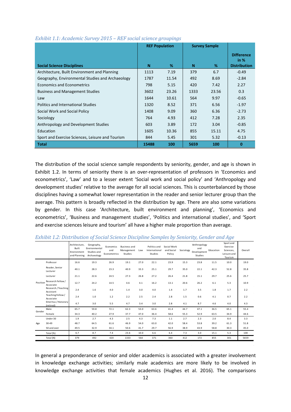|                                                  |       | <b>REF Population</b> | <b>Survey Sample</b> |       |                           |
|--------------------------------------------------|-------|-----------------------|----------------------|-------|---------------------------|
|                                                  |       |                       |                      |       | <b>Difference</b><br>in % |
| <b>Social Science Disciplines</b>                | N     | %                     | N                    | %     | <b>Distribution</b>       |
| Architecture, Built Environment and Planning     | 1113  | 7.19                  | 379                  | 6.7   | $-0.49$                   |
| Geography, Environmental Studies and Archaeology | 1787  | 11.54                 | 492                  | 8.69  | $-2.84$                   |
| Economics and Econometrics                       | 798   | 5.15                  | 420                  | 7.42  | 2.27                      |
| <b>Business and Management Studies</b>           | 3602  | 23.26                 | 1333                 | 23.56 | 0.3                       |
| Law                                              | 1644  | 10.61                 | 564                  | 9.97  | $-0.65$                   |
| Politics and International Studies               | 1320  | 8.52                  | 371                  | 6.56  | $-1.97$                   |
| Social Work and Social Policy                    | 1408  | 9.09                  | 360                  | 6.36  | $-2.73$                   |
| Sociology                                        | 764   | 4.93                  | 412                  | 7.28  | 2.35                      |
| Anthropology and Development Studies             | 603   | 3.89                  | 172                  | 3.04  | $-0.85$                   |
| Education                                        | 1605  | 10.36                 | 855                  | 15.11 | 4.75                      |
| Sport and Exercise Sciences, Leisure and Tourism | 844   | 5.45                  | 301                  | 5.32  | $-0.13$                   |
| <b>Total</b>                                     | 15488 | 100                   | 5659                 | 100   | $\mathbf{0}$              |

#### *Exhibit 1.1: Academic Survey 2015 – REF social science groupings*

The distribution of the social science sample respondents by seniority, gender, and age is shown in [Exhibit 1.2.](#page-11-0) In terms of seniority there is an over-representation of professors in 'Economics and econometrics', 'Law' and to a lesser extent 'Social work and social policy' and 'Anthropology and development studies' relative to the average for all social sciences. This is counterbalanced by those disciplines having a somewhat lower representation in the reader and senior lecturer group than the average. This pattern is broadly reflected in the distribution by age. There are also some variations by gender. In this case 'Architecture, built environment and planning', 'Economics and econometrics', 'Business and management studies', 'Politics and international studies', and 'Sport and exercise sciences leisure and tourism' all have a higher male proportion than average.

|          |                                  | Architecture.<br>Built<br>Environment<br>and Planning | Geography,<br>Environmental<br>Studies and<br>Archaeology | Economics<br>and<br>Econometrics | <b>Business and</b><br>Management<br>Studies | Law  | Politics and<br>International<br>Studies | Social Work<br>and Social<br>Policy | Sociology | Anthropology<br>and<br>Development<br><b>Studies</b> | Education | Sport and<br>Exercise<br>Sciences,<br>Leisure and<br>Tourism | Overall |
|----------|----------------------------------|-------------------------------------------------------|-----------------------------------------------------------|----------------------------------|----------------------------------------------|------|------------------------------------------|-------------------------------------|-----------|------------------------------------------------------|-----------|--------------------------------------------------------------|---------|
| Position | Professor                        | 16.6                                                  | 19.3                                                      | 26.9                             | 19.1                                         | 27.0 | 22.1                                     | 23.9                                | 15.3      | 23.8                                                 | 11.5      | 10.0                                                         | 19.0    |
|          | Reader, Senior<br>Lecturer       | 40.1                                                  | 28.3                                                      | 23.3                             | 40.9                                         | 33.3 | 25.1                                     | 29.7                                | 35.0      | 22.1                                                 | 42.3      | 52.8                                                         | 35.8    |
|          | Lecturer                         | 21.1                                                  | 22.6                                                      | 24.5                             | 27.3                                         | 26.8 | 27.2                                     | 26.4                                | 21.8      | 15.1                                                 | 29.7      | 25.6                                                         | 25.7    |
|          | Research Fellow /<br>Associate   | 12.7                                                  | 24.2                                                      | 14.5                             | 4.6                                          | 4.1  | 16.2                                     | 13.1                                | 20.6      | 26.2                                                 | 6.1       | 5.3                                                          | 10.9    |
|          | Research / Teaching<br>Assistant | 2.4                                                   | 1.6                                                       | 4.0                              | 1.4                                          | 3.0  | 4.0                                      | 1.4                                 | 1.7       | 3.5                                                  | 1.8       | 1.7                                                          | 2.2     |
|          | Teaching Fellow /<br>Associate   | 2.4                                                   | $1.0$                                                     | 1.2                              | 2.2                                          | 2.5  | 2.4                                      | 2.8                                 | 1.5       | 0.6                                                  | 4.1       | 0.7                                                          | 2.2     |
|          | Emeritus / Honorary<br>(retired) | 4.7                                                   | 3.0                                                       | 5.5                              | 4.7                                          | 3.4  | 3.0                                      | 2.8                                 | 4.1       | 8.7                                                  | 4.6       | 4.0                                                          | 4.3     |
| Gender   | Male                             | 65.7                                                  | 59.8                                                      | 72.1                             | 62.3                                         | 53.0 | 63.6                                     | 41.4                                | 44.7      | 47.1                                                 | 36.5      | 65.1                                                         | 55.4    |
|          | Female                           | 34.3                                                  | 40.2                                                      | 27.9                             | 37.7                                         | 47.0 | 36.4                                     | 58.6                                | 55.3      | 52.9                                                 | 63.5      | 34.9                                                         | 44.6    |
| Age      | Under 30                         | 1.9                                                   | 2.7                                                       | 4.3                              | 2.5                                          | 4.3  | 7.3                                      | 1.1                                 | 2.7       | 2.3                                                  | 2.0       | 8.4                                                          | 3.3     |
|          | 30-49                            | 48.7                                                  | 64.5                                                      | 61.6                             | 46.9                                         | 54.0 | 63.0                                     | 42.0                                | 58.4      | 53.8                                                 | 39.2      | 61.3                                                         | 51.8    |
|          | 50 and over                      | 49.5                                                  | 32.9                                                      | 34.1                             | 50.6                                         | 41.7 | 29.7                                     | 56.9                                | 38.9      | 43.9                                                 | 58.8      | 30.3                                                         | 45.0    |
|          | Total (%)                        | 6.7                                                   | 8.7                                                       | 7.4                              | 23.6                                         | 10.0 | 6.6                                      | 6.4                                 | 7.3       | 3.0                                                  | 15.1      | 5.3                                                          | 100     |
|          | Total (N)                        | 379                                                   | 492                                                       | 420                              | 1333                                         | 564  | 371                                      | 360                                 | 412       | 172                                                  | 855       | 301                                                          | 5659    |
|          |                                  |                                                       |                                                           |                                  |                                              |      |                                          |                                     |           |                                                      |           |                                                              |         |

<span id="page-11-0"></span>*Exhibit 1.2: Distribution of Social Science Discipline Samples by Seniority, Gender and Age*

In general a preponderance of senior and older academics is associated with a greater involvement in knowledge exchange activities; similarly male academics are more likely to be involved in knowledge exchange activities that female academics (Hughes et al. 2016). The comparisons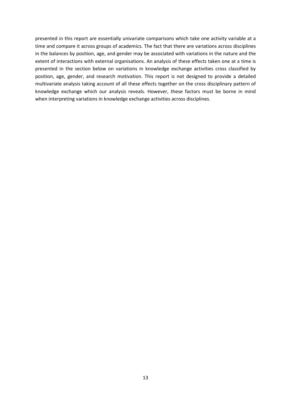presented in this report are essentially univariate comparisons which take one activity variable at a time and compare it across groups of academics. The fact that there are variations across disciplines in the balances by position, age, and gender may be associated with variations in the nature and the extent of interactions with external organisations. An analysis of these effects taken one at a time is presented in the section below on variations in knowledge exchange activities cross classified by position, age, gender, and research motivation. This report is not designed to provide a detailed multivariate analysis taking account of all these effects together on the cross disciplinary pattern of knowledge exchange which our analysis reveals. However, these factors must be borne in mind when interpreting variations in knowledge exchange activities across disciplines.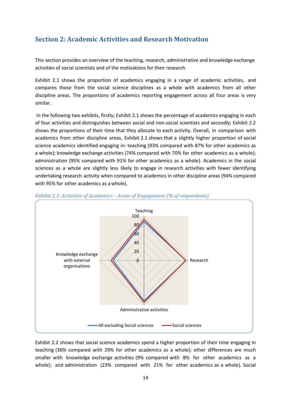## <span id="page-13-0"></span>**Section 2: Academic Activities and Research Motivation**

This section provides an overview of the teaching, research, administrative and knowledge exchange activities of social scientists and of the motivations for their research.

Exhibit 2.1 shows the proportion of academics engaging in a range of academic activities, and compares those from the social science disciplines as a whole with academics from all other discipline areas. The proportions of academics reporting engagement across all four areas is very similar.

In the following two exhibits, firstly; Exhibit 2.1 shows the percentage of academics engaging in each of four activities and distinguishes between social and non-social scientists and secondly; Exhibit 2.2 shows the proportions of their time that they allocate to each activity. Overall, in comparison with academics from other discipline areas, Exhibit 2.1 shows that a slightly higher proportion of social science academics identified engaging in: teaching (93% compared with 87% for other academics as a whole); knowledge exchange activities (74% compared with 70% for other academics as a whole); administration (95% compared with 91% for other academics as a whole). Academics in the social sciences as a whole are slightly less likely to engage in research activities with fewer identifying undertaking research activity when compared to academics in other discipline areas (94% compared with 95% for other academics as awhole).



### *Exhibit 2.1: Activities of Academics – Areas of Engagement (% of respondents)*

Exhibit 2.2 shows that social science academics spend a higher proportion of their time engaging in teaching (36% compared with 29% for other academics as a whole); other differences are much smaller with knowledge exchange activities (9% compared with 8% for other academics as a whole); and administration (23% compared with 21% for other academics as a whole). Social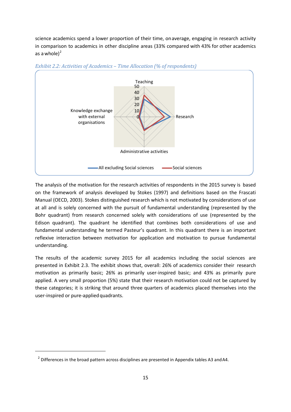science academics spend a lower proportion of their time, onaverage, engaging in research activity in comparison to academics in other discipline areas (33% compared with 43% for other academics as a whole $)^2$  $)^2$ 



#### *Exhibit 2.2: Activities of Academics – Time Allocation (% of respondents)*

The analysis of the motivation for the research activities of respondents in the 2015 survey is based on the framework of analysis developed by Stokes (1997) and definitions based on the Frascati Manual (OECD, 2003). Stokes distinguished research which is not motivated by considerations of use at all and is solely concerned with the pursuit of fundamental understanding (represented by the Bohr quadrant) from research concerned solely with considerations of use (represented by the Edison quadrant). The quadrant he identified that combines both considerations of use and fundamental understanding he termed Pasteur's quadrant. In this quadrant there is an important reflexive interaction between motivation for application and motivation to pursue fundamental understanding.

The results of the academic survey 2015 for all academics including the social sciences are presented in Exhibit 2.3. The exhibit shows that, overall: 26% of academics consider their research motivation as primarily basic; 26% as primarily user-inspired basic; and 43% as primarily pure applied. A very small proportion (5%) state that their research motivation could not be captured by these categories; it is striking that around three quarters of academics placed themselves into the user-inspired or pure-appliedquadrants.

<span id="page-14-0"></span>**.** 

 $2$  Differences in the broad pattern across disciplines are presented in Appendix tables A3 and A4.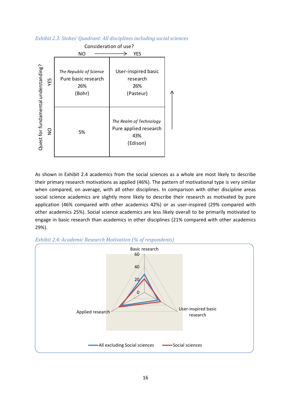### *Exhibit 2.3: Stokes' Quadrant: All disciplines including social sciences*



As shown in [Exhibit 2.4](#page-15-0) academics from the social sciences as a whole are most likely to describe their primary research motivations as applied (46%). The pattern of motivational type is very similar when compared, on average, with all other disciplines. In comparison with other discipline areas social science academics are slightly more likely to describe their research as motivated by pure application (46% compared with other academics 42%) or as user-inspired (29% compared with other academics 25%). Social science academics are less likely overall to be primarily motivated to engage in basic research than academics in other disciplines (21% compared with other academics 29%).

<span id="page-15-0"></span>

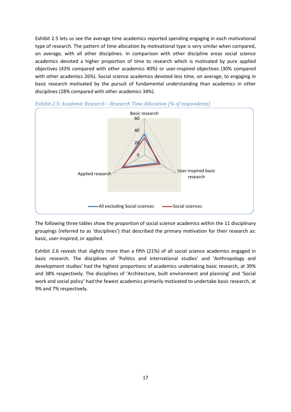[Exhibit 2.5](#page-16-0) lets us see the average time academics reported spending engaging in each motivational type of research. The pattern of time allocation by motivational type is very similar when compared, on average, with all other disciplines. In comparison with other discipline areas social science academics devoted a higher proportion of time to research which is motivated by pure applied objectives (43% compared with other academics 40%) or user-inspired objectives (30% compared with other academics 26%). Social science academics devoted less time, on average, to engaging in basic research motivated by the pursuit of fundamental understanding than academics in other disciplines (28% compared with other academics 34%).



<span id="page-16-0"></span>*Exhibit 2.5: Academic Research – Research Time Allocation (% of respondents)*

The following three tables show the proportion of social science academics within the 11 disciplinary groupings (referred to as 'disciplines') that described the primary motivation for their research as: basic, user-inspired, or applied.

[Exhibit 2.6](#page-17-0) reveals that slightly more than a fifth (21%) of all social science academics engaged in basic research. The disciplines of 'Politics and international studies' and 'Anthropology and development studies' had the highest proportions of academics undertaking basic research, at 39% and 38% respectively. The disciplines of 'Architecture, built environment and planning' and 'Social work and social policy' had the fewest academics primarily motivated to undertake basic research, at 9% and 7% respectively.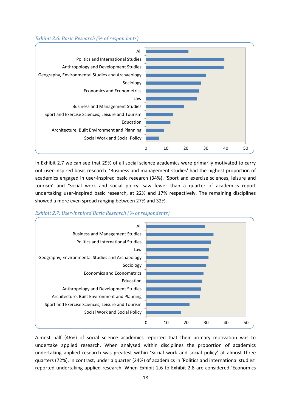#### <span id="page-17-0"></span>*Exhibit 2.6: Basic Research (% of respondents)*



In [Exhibit 2.7](#page-17-1) we can see that 29% of all social science academics were primarily motivated to carry out user-inspired basic research. 'Business and management studies' had the highest proportion of academics engaged in user-inspired basic research (34%). 'Sport and exercise sciences, leisure and tourism' and 'Social work and social policy' saw fewer than a quarter of academics report undertaking user-inspired basic research, at 22% and 17% respectively. The remaining disciplines showed a more even spread ranging between 27% and 32%.

<span id="page-17-1"></span>



Almost half (46%) of social science academics reported that their primary motivation was to undertake applied research. When analysed within disciplines the proportion of academics undertaking applied research was greatest within 'Social work and social policy' at almost three quarters (72%). In contrast, under a quarter (24%) of academics in 'Politics and international studies' reported undertaking applied research. When Exhibit 2.6 to Exhibit 2.8 are considered 'Economics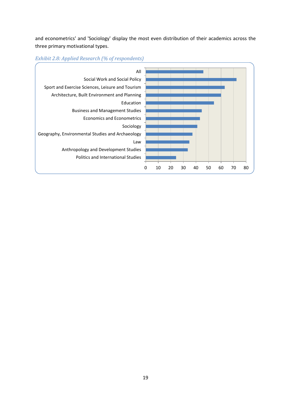and econometrics' and 'Sociology' display the most even distribution of their academics across the three primary motivational types.



## *Exhibit 2.8: Applied Research (% of respondents)*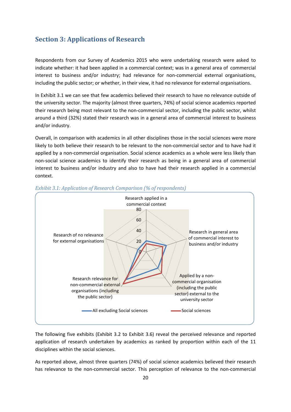## <span id="page-19-0"></span>**Section 3: Applications of Research**

Respondents from our Survey of Academics 2015 who were undertaking research were asked to indicate whether: it had been applied in a commercial context; was in a general area of commercial interest to business and/or industry; had relevance for non-commercial external organisations, including the public sector; or whether, in their view, it had no relevance for external organisations.

In [Exhibit 3.1](#page-19-1) we can see that few academics believed their research to have no relevance outside of the university sector. The majority (almost three quarters, 74%) of social science academics reported their research being most relevant to the non-commercial sector, including the public sector, whilst around a third (32%) stated their research was in a general area of commercial interest to business and/or industry.

Overall, in comparison with academics in all other disciplines those in the social sciences were more likely to both believe their research to be relevant to the non-commercial sector and to have had it applied by a non-commercial organisation. Social science academics as a whole were less likely than non-social science academics to identify their research as being in a general area of commercial interest to business and/or industry and also to have had their research applied in a commercial context.



<span id="page-19-1"></span>

The following five exhibits [\(Exhibit 3.2](#page-20-0) to [Exhibit 3.6\)](#page-23-0) reveal the perceived relevance and reported application of research undertaken by academics as ranked by proportion within each of the 11 disciplines within the social sciences.

As reported above, almost three quarters (74%) of social science academics believed their research has relevance to the non-commercial sector. This perception of relevance to the non-commercial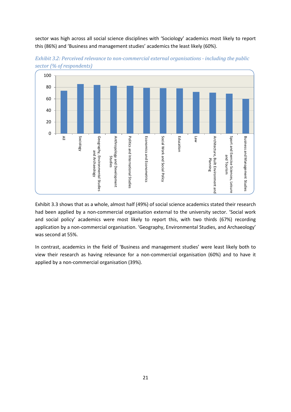sector was high across all social science disciplines with 'Sociology' academics most likely to report this (86%) and 'Business and management studies' academics the least likely (60%).



<span id="page-20-0"></span>*Exhibit 3.2: Perceived relevance to non-commercial external organisations - including the public sector (% of respondents)*

[Exhibit 3.3](#page-21-0) shows that as a whole, almost half (49%) of social science academics stated their research had been applied by a non-commercial organisation external to the university sector. 'Social work and social policy' academics were most likely to report this, with two thirds (67%) recording application by a non-commercial organisation. 'Geography, Environmental Studies, and Archaeology' was second at 55%.

In contrast, academics in the field of 'Business and management studies' were least likely both to view their research as having relevance for a non-commercial organisation (60%) and to have it applied by a non-commercial organisation (39%).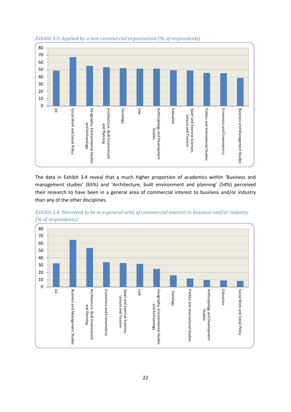

<span id="page-21-0"></span>*Exhibit 3.3: Applied by a non-commercial organisation (% of respondents)*

The data in [Exhibit 3.4](#page-21-1) reveal that a much higher proportion of academics within 'Business and management studies' (65%) and 'Architecture, built environment and planning' (54%) perceived their research to have been in a general area of commercial interest to business and/or industry than any of the other disciplines.

<span id="page-21-1"></span>

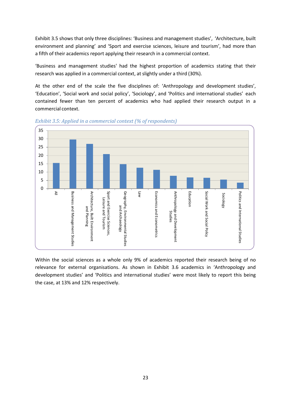Exhibit 3.5 shows that only three disciplines: 'Business and management studies', 'Architecture, built environment and planning' and 'Sport and exercise sciences, leisure and tourism', had more than a fifth of their academics report applying their research in a commercial context.

'Business and management studies' had the highest proportion of academics stating that their research was applied in a commercial context, at slightly under a third (30%).

At the other end of the scale the five disciplines of: 'Anthropology and development studies', 'Education', 'Social work and social policy', 'Sociology', and 'Politics and international studies' each contained fewer than ten percent of academics who had applied their research output in a commercial context.



*Exhibit 3.5: Applied in a commercial context (% of respondents)*

Within the social sciences as a whole only 9% of academics reported their research being of no relevance for external organisations. As shown in [Exhibit 3.6](#page-23-0) academics in 'Anthropology and development studies' and 'Politics and international studies' were most likely to report this being the case, at 13% and 12% respectively.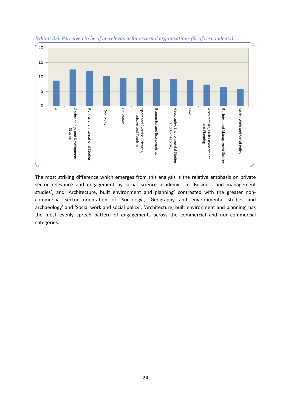

<span id="page-23-0"></span>*Exhibit 3.6: Perceived to be of no relevance for external organisations (% of respondents)*

The most striking difference which emerges from this analysis is the relative emphasis on private sector relevance and engagement by social science academics in 'Business and management studies', and 'Architecture, built environment and planning' contrasted with the greater noncommercial sector orientation of 'Sociology', 'Geography and environmental studies and archaeology' and 'Social work and social policy'. 'Architecture, built environment and planning' has the most evenly spread pattern of engagements across the commercial and non-commercial categories.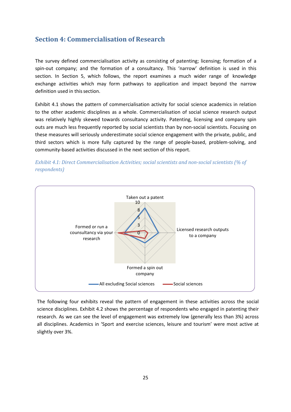## <span id="page-24-0"></span>**Section 4: Commercialisation of Research**

The survey defined commercialisation activity as consisting of patenting; licensing; formation of a spin-out company; and the formation of a consultancy. This 'narrow' definition is used in this section. In Section 5, which follows, the report examines a much wider range of knowledge exchange activities which may form pathways to application and impact beyond the narrow definition used in this section.

Exhibit 4.1 shows the pattern of commercialisation activity for social science academics in relation to the other academic disciplines as a whole. Commercialisation of social science research output was relatively highly skewed towards consultancy activity. Patenting, licensing and company spin outs are much less frequently reported by social scientists than by non-social scientists. Focusing on these measures will seriously underestimate social science engagement with the private, public, and third sectors which is more fully captured by the range of people-based, problem-solving, and community-based activities discussed in the next section of this report.





<span id="page-24-1"></span>The following four exhibits reveal the pattern of engagement in these activities across the social science disciplines. [Exhibit 4.2](#page-24-1) shows the percentage of respondents who engaged in patenting their research. As we can see the level of engagement was extremely low (generally less than 3%) across all disciplines. Academics in 'Sport and exercise sciences, leisure and tourism' were most active at slightly over 3%.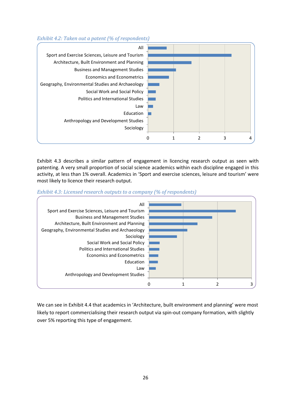### *Exhibit 4.2: Taken out a patent (% of respondents)*



[Exhibit 4.3](#page-25-0) describes a similar pattern of engagement in licencing research output as seen with patenting. A very small proportion of social science academics within each discipline engaged in this activity, at less than 1% overall. Academics in 'Sport and exercise sciences, leisure and tourism' were most likely to licence their research output.

<span id="page-25-0"></span>



<span id="page-25-1"></span>We can see in [Exhibit 4.4](#page-25-1) that academics in 'Architecture, built environment and planning' were most likely to report commercialising their research output via spin-out company formation, with slightly over 5% reporting this type of engagement.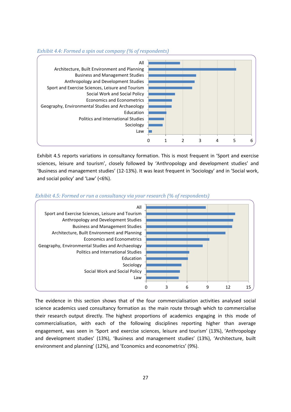



Exhibit 4.5 reports variations in consultancy formation. This is most frequent in 'Sport and exercise sciences, leisure and tourism', closely followed by 'Anthropology and development studies' and 'Business and management studies' (12-13%). It was least frequent in 'Sociology' and in 'Social work, and social policy' and 'Law' (<6%).



#### *Exhibit 4.5: Formed or run a consultancy via your research (% of respondents)*

The evidence in this section shows that of the four commercialisation activities analysed social science academics used consultancy formation as the main route through which to commercialise their research output directly. The highest proportions of academics engaging in this mode of commercialisation, with each of the following disciplines reporting higher than average engagement, was seen in 'Sport and exercise sciences, leisure and tourism' (13%), 'Anthropology and development studies' (13%), 'Business and management studies' (13%), 'Architecture, built environment and planning' (12%), and 'Economics and econometrics' (9%).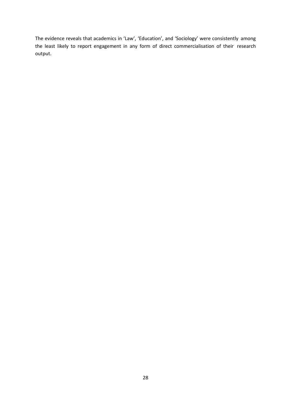The evidence reveals that academics in 'Law', 'Education', and 'Sociology' were consistently among the least likely to report engagement in any form of direct commercialisation of their research output.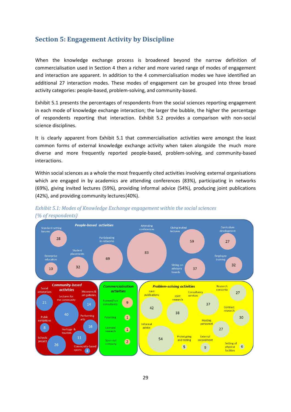## <span id="page-28-0"></span>**Section 5: Engagement Activity by Discipline**

When the knowledge exchange process is broadened beyond the narrow definition of commercialisation used in Section 4 then a richer and more varied range of modes of engagement and interaction are apparent. In addition to the 4 commercialisation modes we have identified an additional 27 interaction modes. These modes of engagement can be grouped into three broad activity categories: people-based, problem-solving, and community-based.

Exhibit 5.1 presents the percentages of respondents from the social sciences reporting engagement in each mode of knowledge exchange interaction; the larger the bubble, the higher the percentage of respondents reporting that interaction. Exhibit 5.2 provides a comparison with non-social science disciplines.

It is clearly apparent from Exhibit 5.1 that commercialisation activities were amongst the least common forms of external knowledge exchange activity when taken alongside the much more diverse and more frequently reported people-based, problem-solving, and community-based interactions.

Within social sciences as a whole the most frequently cited activities involving external organisations which are engaged in by academics are attending conferences (83%), participating in networks (69%), giving invited lectures (59%), providing informal advice (54%), producing joint publications (42%), and providing community lectures(40%).



*Exhibit 5.1: Modes of Knowledge Exchange engagement within the social sciences (% of respondents)*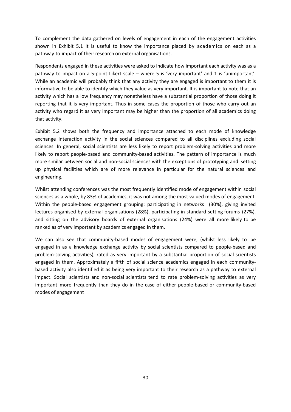To complement the data gathered on levels of engagement in each of the engagement activities shown in Exhibit 5.1 it is useful to know the importance placed by academics on each as a pathway to impact of their research on external organisations.

Respondents engaged in these activities were asked to indicate how important each activity was as a pathway to impact on a 5-point Likert scale – where 5 is 'very important' and 1 is 'unimportant'. While an academic will probably think that any activity they are engaged is important to them it is informative to be able to identify which they value as very important. It is important to note that an activity which has a low frequency may nonetheless have a substantial proportion of those doing it reporting that it is very important. Thus in some cases the proportion of those who carry out an activity who regard it as very important may be higher than the proportion of all academics doing that activity.

Exhibit 5.2 shows both the frequency and importance attached to each mode of knowledge exchange interaction activity in the social sciences compared to all disciplines excluding social sciences. In general, social scientists are less likely to report problem-solving activities and more likely to report people-based and community-based activities. The pattern of importance is much more similar between social and non-social sciences with the exceptions of prototyping and setting up physical facilities which are of more relevance in particular for the natural sciences and engineering.

Whilst attending conferences was the most frequently identified mode of engagement within social sciences as a whole, by 83% of academics, it was not among the most valued modes of engagement. Within the people-based engagement grouping: participating in networks (30%), giving invited lectures organised by external organisations (28%), participating in standard setting forums (27%), and sitting on the advisory boards of external organisations (24%) were all more likely to be ranked as of very important by academics engaged in them.

We can also see that community-based modes of engagement were, (whilst less likely to be engaged in as a knowledge exchange activity by social scientists compared to people-based and problem-solving activities), rated as very important by a substantial proportion of social scientists engaged in them. Approximately a fifth of social science academics engaged in each communitybased activity also identified it as being very important to their research as a pathway to external impact. Social scientists and non-social scientists tend to rate problem-solving activities as very important more frequently than they do in the case of either people-based or community-based modes of engagement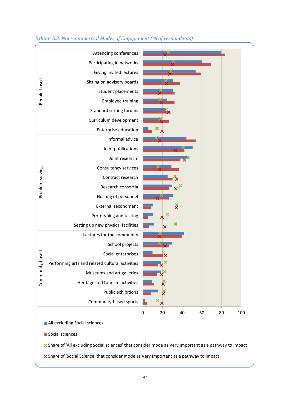

### *Exhibit 5.2: Non-commercial Modes of Engagement (% of respondents)*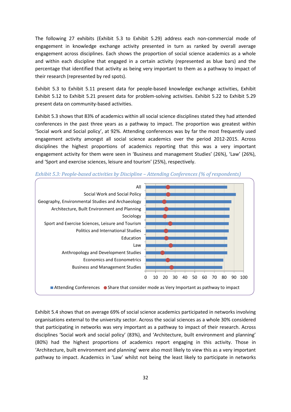The following 27 exhibits (Exhibit 5.3 to Exhibit 5.29) address each non-commercial mode of engagement in knowledge exchange activity presented in turn as ranked by overall average engagement across disciplines. Each shows the proportion of social science academics as a whole and within each discipline that engaged in a certain activity (represented as blue bars) and the percentage that identified that activity as being very important to them as a pathway to impact of their research (represented by red spots).

[Exhibit 5.3](#page-31-0) to [Exhibit 5.11](#page-37-0) present data for people-based knowledge exchange activities, Exhibit [Exhibit 5.12](#page-38-0) to [Exhibit 5.21](#page-43-0) present data for problem-solving activities. [Exhibit 5.22](#page-44-0) to [Exhibit 5.29](#page-48-0) present data on community-based activities.

[Exhibit 5.3](#page-31-0) shows that 83% of academics within all social science disciplines stated they had attended conferences in the past three years as a pathway to impact. The proportion was greatest within 'Social work and Social policy', at 92%. Attending conferences was by far the most frequently used engagement activity amongst all social science academics over the period 2012-2015. Across disciplines the highest proportions of academics reporting that this was a very important engagement activity for them were seen in 'Business and management Studies' (26%), 'Law' (26%), and 'Sport and exercise sciences, leisure and tourism' (25%), respectively.



<span id="page-31-0"></span>*Exhibit 5.3: People-based activities by Discipline – Attending Conferences (% of respondents)*

[Exhibit 5.4](#page-32-0) shows that on average 69% of social science academics participated in networks involving organisations external to the university sector. Across the social sciences as a whole 30% considered that participating in networks was very important as a pathway to impact of their research. Across disciplines 'Social work and social policy' (83%), and 'Architecture, built environment and planning' (80%) had the highest proportions of academics report engaging in this activity. Those in 'Architecture, built environment and planning' were also most likely to view this as a very important pathway to impact. Academics in 'Law' whilst not being the least likely to participate in networks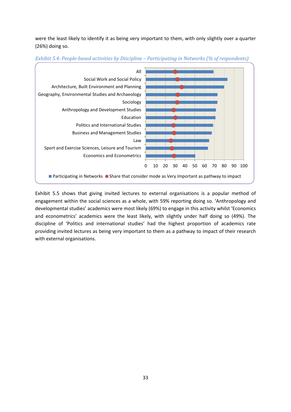were the least likely to identify it as being very important to them, with only slightly over a quarter (26%) doing so.



<span id="page-32-0"></span>*Exhibit 5.4: People-based activities by Discipline – Participating in Networks (% of respondents)*

[Exhibit 5.5](#page-33-0) shows that giving invited lectures to external organisations is a popular method of engagement within the social sciences as a whole, with 59% reporting doing so. 'Anthropology and developmental studies' academics were most likely (69%) to engage in this activity whilst 'Economics and econometrics' academics were the least likely, with slightly under half doing so (49%). The discipline of 'Politics and international studies' had the highest proportion of academics rate providing invited lectures as being very important to them as a pathway to impact of their research with external organisations.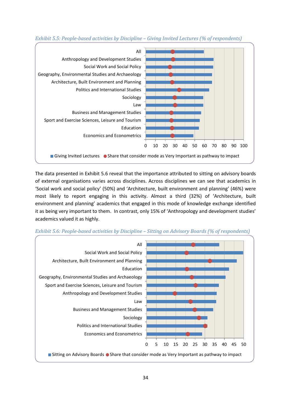

<span id="page-33-0"></span>*Exhibit 5.5: People-based activities by Discipline – Giving Invited Lectures (% of respondents)*

The data presented in [Exhibit 5.6](#page-33-1) reveal that the importance attributed to sitting on advisory boards of external organisations varies across disciplines. Across disciplines we can see that academics in 'Social work and social policy' (50%) and 'Architecture, built environment and planning' (46%) were most likely to report engaging in this activity. Almost a third (32%) of 'Architecture, built environment and planning' academics that engaged in this mode of knowledge exchange identified it as being very important to them. In contrast, only 15% of 'Anthropology and development studies' academics valued it as highly.



<span id="page-33-1"></span>*Exhibit 5.6: People-based activities by Discipline – Sitting on Advisory Boards (% of respondents)*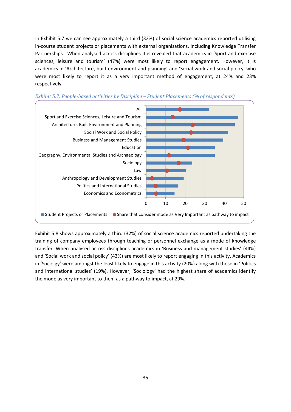In [Exhibit 5.7](#page-34-0) we can see approximately a third (32%) of social science academics reported utilising in-course student projects or placements with external organisations, including Knowledge Transfer Partnerships. When analysed across disciplines it is revealed that academics in 'Sport and exercise sciences, leisure and tourism' (47%) were most likely to report engagement. However, it is academics in 'Architecture, built environment and planning' and 'Social work and social policy' who were most likely to report it as a very important method of engagement, at 24% and 23% respectively.



<span id="page-34-0"></span>

[Exhibit 5.8](#page-35-0) shows approximately a third (32%) of social science academics reported undertaking the training of company employees through teaching or personnel exchange as a mode of knowledge transfer. When analysed across disciplines academics in 'Business and management studies' (44%) and 'Social work and social policy' (43%) are most likely to report engaging in this activity. Academics in 'Sociolgy' were amongst the least likely to engage in this activity (20%) along with those in 'Politics and international studies' (19%). However, 'Sociology' had the highest share of academics identify the mode as very important to them as a pathway to impact, at 29%.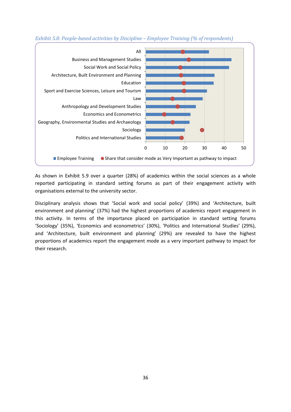

<span id="page-35-0"></span>*Exhibit 5.8: People-based activities by Discipline – Employee Training (% of respondents)*

As shown in [Exhibit 5.9](#page-36-0) over a quarter (28%) of academics within the social sciences as a whole reported participating in standard setting forums as part of their engagement activity with organisations external to the university sector.

Disciplinary analysis shows that 'Social work and social policy' (39%) and 'Architecture, built environment and planning' (37%) had the highest proportions of academics report engagement in this activity. In terms of the importance placed on participation in standard setting forums 'Sociology' (35%), 'Economics and econometrics' (30%), 'Politics and International Studies' (29%), and 'Architecture, built environment and planning' (29%) are revealed to have the highest proportions of academics report the engagement mode as a very important pathway to impact for their research.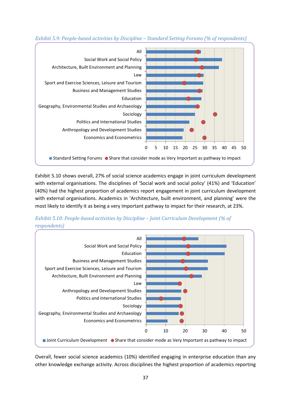

*Exhibit 5.9: People-based activities by Discipline – Standard Setting Forums (% of respondents)*

[Exhibit 5.10](#page-36-0) shows overall, 27% of social science academics engage in joint curriculum development with external organisations. The disciplines of 'Social work and social policy' (41%) and 'Education' (40%) had the highest proportion of academics report engagement in joint curriculum development with external organisations. Academics in 'Architecture, built environment, and planning' were the most likely to identify it as being a very important pathway to impact for their research, at 23%.

<span id="page-36-0"></span>



Overall, fewer social science academics (10%) identified engaging in enterprise education than any other knowledge exchange activity. Across disciplines the highest proportion of academics reporting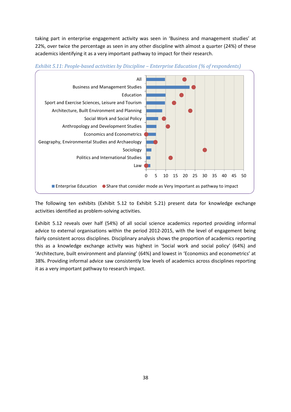taking part in enterprise engagement activity was seen in 'Business and management studies' at 22%, over twice the percentage as seen in any other discipline with almost a quarter (24%) of these academics identifying it as a very important pathway to impact for their research.





The following ten exhibits (Exhibit 5.12 to Exhibit 5.21) present data for knowledge exchange activities identified as problem-solving activities.

[Exhibit 5.12](#page-38-0) reveals over half (54%) of all social science academics reported providing informal advice to external organisations within the period 2012-2015, with the level of engagement being fairly consistent across disciplines. Disciplinary analysis shows the proportion of academics reporting this as a knowledge exchange activity was highest in 'Social work and social policy' (64%) and 'Architecture, built environment and planning' (64%) and lowest in 'Economics and econometrics' at 38%. Providing informal advice saw consistently low levels of academics across disciplines reporting it as a very important pathway to research impact.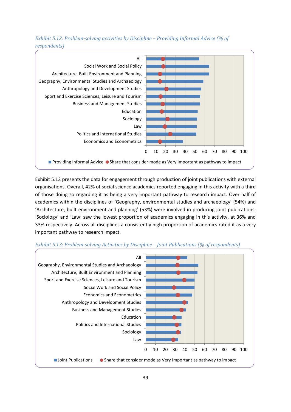<span id="page-38-0"></span>*Exhibit 5.12: Problem-solving activities by Discipline – Providing Informal Advice (% of respondents)*



[Exhibit 5.13](#page-38-1) presents the data for engagement through production of joint publications with external organisations. Overall, 42% of social science academics reported engaging in this activity with a third of those doing so regarding it as being a very important pathway to research impact. Over half of academics within the disciplines of 'Geography, environmental studies and archaeology' (54%) and 'Architecture, built environment and planning' (53%) were involved in producing joint publications. 'Sociology' and 'Law' saw the lowest proportion of academics engaging in this activity, at 36% and 33% respectively. Across all disciplines a consistently high proportion of academics rated it as a very important pathway to research impact.



#### <span id="page-38-1"></span>*Exhibit 5.13: Problem-solving Activities by Discipline – Joint Publications (% of respondents)*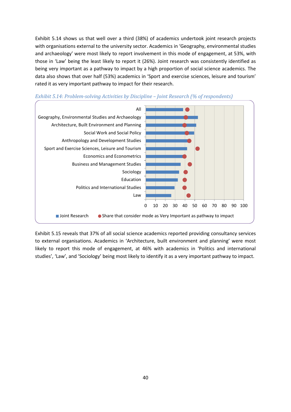[Exhibit 5.14](#page-39-0) shows us that well over a third (38%) of academics undertook joint research projects with organisations external to the university sector. Academics in 'Geography, environmental studies and archaeology' were most likely to report involvement in this mode of engagement, at 53%, with those in 'Law' being the least likely to report it (26%). Joint research was consistently identified as being very important as a pathway to impact by a high proportion of social science academics. The data also shows that over half (53%) academics in 'Sport and exercise sciences, leisure and tourism' rated it as very important pathway to impact for their research.



#### <span id="page-39-0"></span>*Exhibit 5.14: Problem-solving Activities by Discipline – Joint Research (% of respondents)*

[Exhibit 5.15](#page-40-0) reveals that 37% of all social science academics reported providing consultancy services to external organisations. Academics in 'Architecture, built environment and planning' were most likely to report this mode of engagement, at 46% with academics in 'Politics and international studies', 'Law', and 'Sociology' being most likely to identify it as a very important pathway to impact.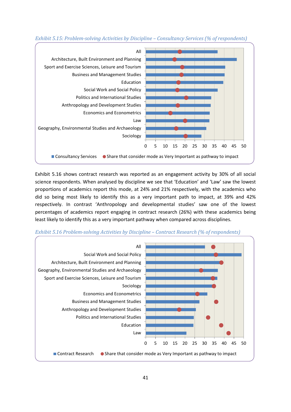

<span id="page-40-0"></span>*Exhibit 5.15: Problem-solving Activities by Discipline – Consultancy Services (% of respondents)*

[Exhibit 5.16](#page-40-1) shows contract research was reported as an engagement activity by 30% of all social science respondents. When analysed by discipline we see that 'Education' and 'Law' saw the lowest proportions of academics report this mode, at 24% and 21% respectively, with the academics who did so being most likely to identify this as a very important path to impact, at 39% and 42% respectively. In contrast 'Anthropology and developmental studies' saw one of the lowest percentages of academics report engaging in contract research (26%) with these academics being least likely to identify this as a very important pathway when compared across disciplines.



<span id="page-40-1"></span>*Exhibit 5.16 Problem-solving Activities by Discipline – Contract Research (% of respondents)*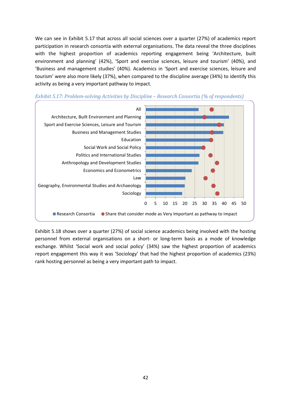We can see in [Exhibit 5.17](#page-41-0) that across all social sciences over a quarter (27%) of academics report participation in research consortia with external organisations. The data reveal the three disciplines with the highest proportion of academics reporting engagement being 'Architecture, built environment and planning' (42%), 'Sport and exercise sciences, leisure and tourism' (40%), and 'Business and management studies' (40%). Academics in 'Sport and exercise sciences, leisure and tourism' were also more likely (37%), when compared to the discipline average (34%) to identify this activity as being a very important pathway to impact.



<span id="page-41-0"></span>

[Exhibit 5.18](#page-42-0) shows over a quarter (27%) of social science academics being involved with the hosting personnel from external organisations on a short- or long-term basis as a mode of knowledge exchange. Whilst 'Social work and social policy' (34%) saw the highest proportion of academics report engagement this way it was 'Sociology' that had the highest proportion of academics (23%) rank hosting personnel as being a very important path to impact.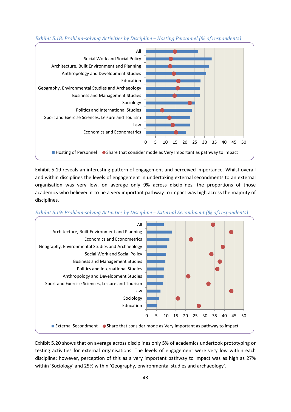

<span id="page-42-0"></span>*Exhibit 5.18: Problem-solving Activities by Discipline – Hosting Personnel (% of respondents)*

[Exhibit 5.19](#page-42-1) reveals an interesting pattern of engagement and perceived importance. Whilst overall and within disciplines the levels of engagement in undertaking external secondments to an external organisation was very low, on average only 9% across disciplines, the proportions of those academics who believed it to be a very important pathway to impact was high across the majority of disciplines.

<span id="page-42-1"></span>



[Exhibit 5.20](#page-43-0) shows that on average across disciplines only 5% of academics undertook prototyping or testing activities for external organisations. The levels of engagement were very low within each discipline; however, perception of this as a very important pathway to impact was as high as 27% within 'Sociology' and 25% within 'Geography, environmental studies and archaeology'.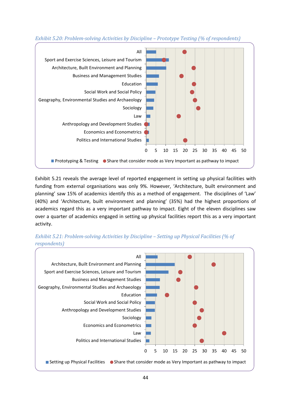

<span id="page-43-0"></span>*Exhibit 5.20: Problem-solving Activities by Discipline – Prototype Testing (% of respondents)*

[Exhibit 5.21](#page-43-1) reveals the average level of reported engagement in setting up physical facilities with funding from external organisations was only 9%. However, 'Architecture, built environment and planning' saw 15% of academics identify this as a method of engagement. The disciplines of 'Law' (40%) and 'Architecture, built environment and planning' (35%) had the highest proportions of academics regard this as a very important pathway to impact. Eight of the eleven disciplines saw over a quarter of academics engaged in setting up physical facilities report this as a very important activity.

<span id="page-43-1"></span>

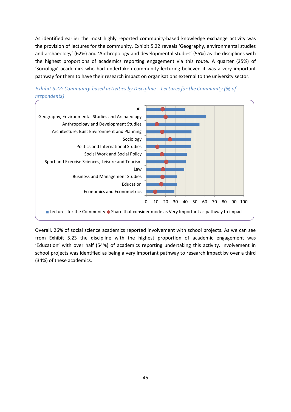As identified earlier the most highly reported community-based knowledge exchange activity was the provision of lectures for the community. [Exhibit 5.22](#page-44-0) reveals 'Geography, environmental studies and archaeology' (62%) and 'Anthropology and developmental studies' (55%) as the disciplines with the highest proportions of academics reporting engagement via this route. A quarter (25%) of 'Sociology' academics who had undertaken community lecturing believed it was a very important pathway for them to have their research impact on organisations external to the university sector.



<span id="page-44-0"></span>

Overall, 26% of social science academics reported involvement with school projects. As we can see from [Exhibit 5.23](#page-45-0) the discipline with the highest proportion of academic engagement was 'Education' with over half (54%) of academics reporting undertaking this activity. Involvement in school projects was identified as being a very important pathway to research impact by over a third (34%) of these academics.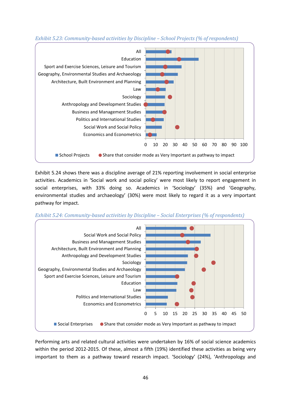

<span id="page-45-0"></span>*Exhibit 5.23: Community-based activities by Discipline – School Projects (% of respondents)*

[Exhibit 5.24](#page-45-1) shows there was a discipline average of 21% reporting involvement in social enterprise activities. Academics in 'Social work and social policy' were most likely to report engagement in social enterprises, with 33% doing so. Academics in 'Sociology' (35%) and 'Geography, environmental studies and archaeology' (30%) were most likely to regard it as a very important pathway for impact.

<span id="page-45-1"></span>*Exhibit 5.24: Community-based activities by Discipline – Social Enterprises (% of respondents)*



Performing arts and related cultural activities were undertaken by 16% of social science academics within the period 2012-2015. Of these, almost a fifth (19%) identified these activities as being very important to them as a pathway toward research impact. 'Sociology' (24%), 'Anthropology and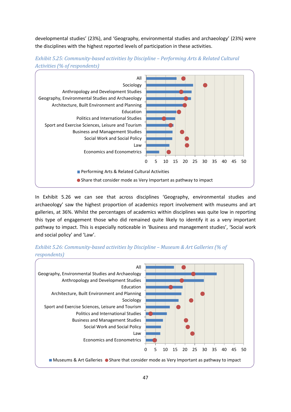developmental studies' (23%), and 'Geography, environmental studies and archaeology' (23%) were the disciplines with the highest reported levels of participation in these activities.





In [Exhibit 5.26](#page-46-0) we can see that across disciplines 'Geography, environmental studies and archaeology' saw the highest proportion of academics report involvement with museums and art galleries, at 36%. Whilst the percentages of academics within disciplines was quite low in reporting this type of engagement those who did remained quite likely to identify it as a very important pathway to impact. This is especially noticeable in 'Business and management studies', 'Social work and social policy' and 'Law'.



<span id="page-46-0"></span>*Exhibit 5.26: Community-based activities by Discipline – Museum & Art Galleries (% of respondents)*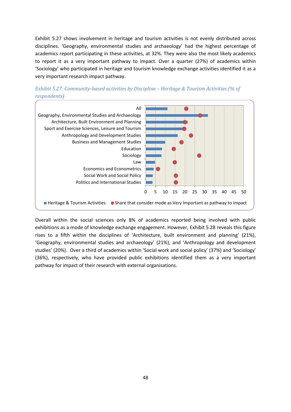[Exhibit 5.27](#page-47-0) shows involvement in heritage and tourism activities is not evenly distributed across disciplines. 'Geography, environmental studies and archaeology' had the highest percentage of academics report participating in these activities, at 32%. They were also the most likely academics to report it as a very important pathway to impact. Over a quarter (27%) of academics within 'Sociology' who participated in heritage and tourism knowledge exchange activities identified it as a very important research impact pathway.



<span id="page-47-0"></span>

Overall within the social sciences only 8% of academics reported being involved with public exhibitions as a mode of knowledge exchange engagement. However, [Exhibit 5.28](#page-48-0) reveals this figure rises to a fifth within the disciplines of 'Architecture, built environment and planning' (21%), 'Geography, environmental studies and archaeology' (21%), and 'Anthropology and development studies' (20%). Over a third of academics within 'Social work and social policy' (37%) and 'Sociology' (36%), respectively, who have provided public exhibitions identified them as a very important pathway for impact of their research with external organisations.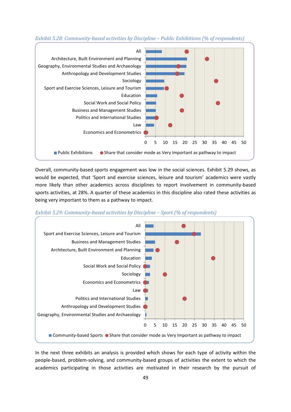<span id="page-48-0"></span>



Overall, community-based sports engagement was low in the social sciences. [Exhibit 5.29](#page-48-1) shows, as would be expected, that 'Sport and exercise sciences, leisure and tourism' academics were vastly more likely than other academics across disciplines to report involvement in community-based sports activities, at 28%. A quarter of these academics in this discipline also rated these activities as being very important to them as a pathway to impact.

<span id="page-48-1"></span>



In the next three exhibits an analysis is provided which shows for each type of activity within the people-based, problem-solving, and community-based groups of activities the extent to which the academics participating in those activities are motivated in their research by the pursuit of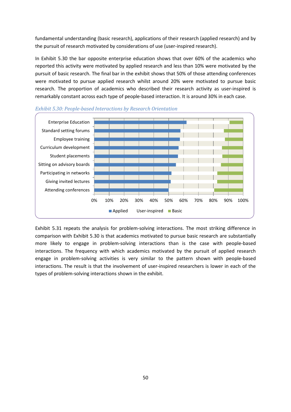fundamental understanding (basic research), applications of their research (applied research) and by the pursuit of research motivated by considerations of use (user-inspired research).

In [Exhibit 5.30](#page-49-0) the bar opposite enterprise education shows that over 60% of the academics who reported this activity were motivated by applied research and less than 10% were motivated by the pursuit of basic research. The final bar in the exhibit shows that 50% of those attending conferences were motivated to pursue applied research whilst around 20% were motivated to pursue basic research. The proportion of academics who described their research activity as user-inspired is remarkably constant across each type of people-based interaction. It is around 30% in each case.



<span id="page-49-0"></span>

[Exhibit 5.31](#page-50-0) repeats the analysis for problem-solving interactions. The most striking difference in comparison with Exhibit 5.30 is that academics motivated to pursue basic research are substantially more likely to engage in problem-solving interactions than is the case with people-based interactions. The frequency with which academics motivated by the pursuit of applied research engage in problem-solving activities is very similar to the pattern shown with people-based interactions. The result is that the involvement of user-inspired researchers is lower in each of the types of problem-solving interactions shown in the exhibit.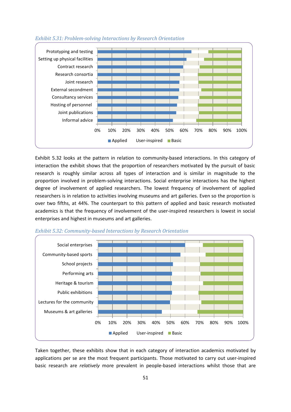

#### <span id="page-50-0"></span>*Exhibit 5.31: Problem-solving Interactions by Research Orientation*

Exhibit 5.32 looks at the pattern in relation to community-based interactions. In this category of interaction the exhibit shows that the proportion of researchers motivated by the pursuit of basic research is roughly similar across all types of interaction and is similar in magnitude to the proportion involved in problem-solving interactions. Social enterprise interactions has the highest degree of involvement of applied researchers. The lowest frequency of involvement of applied researchers is in relation to activities involving museums and art galleries. Even so the proportion is over two fifths, at 44%. The counterpart to this pattern of applied and basic research motivated academics is that the frequency of involvement of the user-inspired researchers is lowest in social enterprises and highest in museums and art galleries.



*Exhibit 5.32: Community-based Interactions by Research Orientation*

Taken together, these exhibits show that in each category of interaction academics motivated by applications per se are the most frequent participants. Those motivated to carry out user-inspired basic research are *relatively* more prevalent in people-based interactions whilst those that are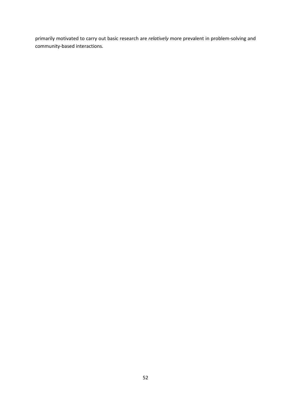primarily motivated to carry out basic research are *relatively* more prevalent in problem-solving and community-based interactions.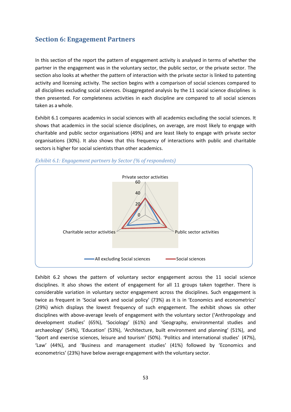## **Section 6: Engagement Partners**

In this section of the report the pattern of engagement activity is analysed in terms of whether the partner in the engagement was in the voluntary sector, the public sector, or the private sector. The section also looks at whether the pattern of interaction with the private sector is linked to patenting activity and licensing activity. The section begins with a comparison of social sciences compared to all disciplines excluding social sciences. Disaggregated analysis by the 11 social science disciplines is then presented. For completeness activities in each discipline are compared to all social sciences taken as a whole.

[Exhibit 6.1](#page-52-0) compares academics in social sciences with all academics excluding the social sciences. It shows that academics in the social science disciplines, on average, are most likely to engage with charitable and public sector organisations (49%) and are least likely to engage with private sector organisations (30%). It also shows that this frequency of interactions with public and charitable sectors is higher for social scientists than other academics.



<span id="page-52-0"></span>*Exhibit 6.1: Engagement partners by Sector (% of respondents)*

Exhibit 6.2 shows the pattern of voluntary sector engagement across the 11 social science disciplines. It also shows the extent of engagement for all 11 groups taken together. There is considerable variation in voluntary sector engagement across the disciplines. Such engagement is twice as frequent in 'Social work and social policy' (73%) as it is in 'Economics and econometrics' (29%) which displays the lowest frequency of such engagement. The exhibit shows six other disciplines with above-average levels of engagement with the voluntary sector ('Anthropology and development studies' (65%), 'Sociology' (61%) and 'Geography, environmental studies and archaeology' (54%), 'Education' (53%), 'Architecture, built environment and planning' (51%), and 'Sport and exercise sciences, leisure and tourism' (50%). 'Politics and international studies' (47%), 'Law' (44%), and 'Business and management studies' (41%) followed by 'Economics and econometrics' (23%) have below average engagement with the voluntary sector.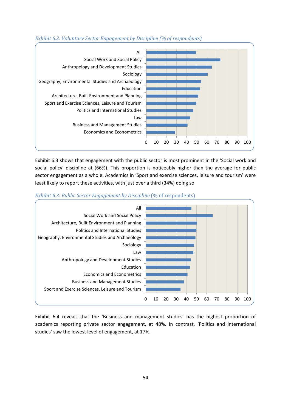

#### *Exhibit 6.2: Voluntary Sector Engagement by Discipline (% of respondents)*

Exhibit 6.3 shows that engagement with the public sector is most prominent in the 'Social work and social policy' discipline at (66%). This proportion is noticeably higher than the average for public sector engagement as a whole. Academics in 'Sport and exercise sciences, leisure and tourism' were least likely to report these activities, with just over a third (34%) doing so.



*Exhibit 6.3: Public Sector Engagement by Discipline* (% of respondents)

[Exhibit 6.4](#page-54-0) reveals that the 'Business and management studies' has the highest proportion of academics reporting private sector engagement, at 48%. In contrast, 'Politics and international studies' saw the lowest level of engagement, at 17%.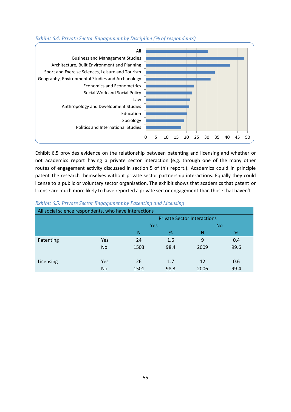

### <span id="page-54-0"></span>*Exhibit 6.4: Private Sector Engagement by Discipline (% of respondents)*

Exhibit 6.5 provides evidence on the relationship between patenting and licensing and whether or not academics report having a private sector interaction (e.g. through one of the many other routes of engagement activity discussed in section 5 of this report.). Academics could in principle patent the research themselves without private sector partnership interactions. Equally they could license to a public or voluntary sector organisation. The exhibit shows that academics that patent or license are much more likely to have reported a private sector engagement than those that haven't.

| All social science respondents, who have interactions |                |                  |      |                                    |      |  |  |  |
|-------------------------------------------------------|----------------|------------------|------|------------------------------------|------|--|--|--|
|                                                       |                |                  |      | <b>Private Sector Interactions</b> |      |  |  |  |
|                                                       |                | Yes<br><b>No</b> |      |                                    |      |  |  |  |
|                                                       |                | N                | %    | N                                  | %    |  |  |  |
| Patenting                                             | Yes            | 24               | 1.6  | 9                                  | 0.4  |  |  |  |
|                                                       | <b>No</b>      | 1503             | 98.4 | 2009                               | 99.6 |  |  |  |
| Licensing                                             | <b>Yes</b>     | 26               | 1.7  | 12                                 | 0.6  |  |  |  |
|                                                       | N <sub>o</sub> | 1501             | 98.3 | 2006                               | 99.4 |  |  |  |

#### *Exhibit 6.5: Private Sector Engagement by Patenting and Licensing*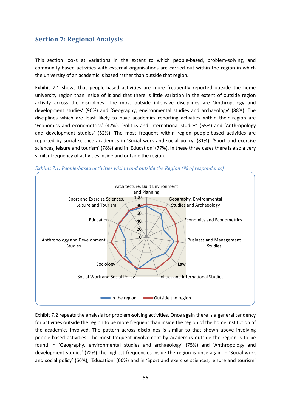# **Section 7: Regional Analysis**

This section looks at variations in the extent to which people-based, problem-solving, and community-based activities with external organisations are carried out within the region in which the university of an academic is based rather than outside that region.

[Exhibit 7.1](#page-55-0) shows that people-based activities are more frequently reported outside the home university region than inside of it and that there is little variation in the extent of outside region activity across the disciplines. The most outside intensive disciplines are 'Anthropology and development studies' (90%) and 'Geography, environmental studies and archaeology' (88%). The disciplines which are least likely to have academics reporting activities within their region are 'Economics and econometrics' (47%), 'Politics and international studies' (55%) and 'Anthropology and development studies' (52%). The most frequent within region people-based activities are reported by social science academics in 'Social work and social policy' (81%), 'Sport and exercise sciences, leisure and tourism' (78%) and in 'Education' (77%). In these three cases there is also a very similar frequency of activities inside and outside the region.



<span id="page-55-0"></span>*Exhibit 7.1: People-based activities within and outside the Region (% of respondents)*

[Exhibit 7.2](#page-56-0) repeats the analysis for problem-solving activities. Once again there is a general tendency for activities outside the region to be more frequent than inside the region of the home institution of the academics involved. The pattern across disciplines is similar to that shown above involving people-based activities. The most frequent involvement by academics outside the region is to be found in 'Geography, environmental studies and archaeology' (75%) and 'Anthropology and development studies' (72%).The highest frequencies inside the region is once again in 'Social work and social policy' (66%), 'Education' (60%) and in 'Sport and exercise sciences, leisure and tourism'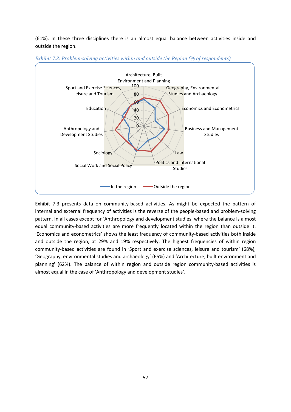(61%). In these three disciplines there is an almost equal balance between activities inside and outside the region.



<span id="page-56-0"></span>

[Exhibit](#page-57-0) 7.3 presents data on community-based activities. As might be expected the pattern of internal and external frequency of activities is the reverse of the people-based and problem-solving pattern. In all cases except for 'Anthropology and development studies' where the balance is almost equal community-based activities are more frequently located within the region than outside it. 'Economics and econometrics' shows the least frequency of community-based activities both inside and outside the region, at 29% and 19% respectively. The highest frequencies of within region community-based activities are found in 'Sport and exercise sciences, leisure and tourism' (68%), 'Geography, environmental studies and archaeology' (65%) and 'Architecture, built environment and planning' (62%). The balance of within region and outside region community-based activities is almost equal in the case of 'Anthropology and development studies'.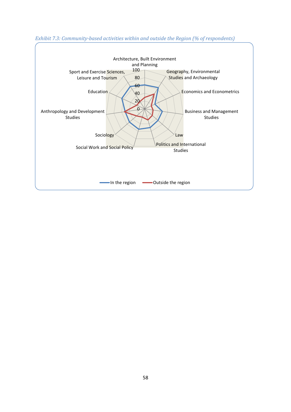

## <span id="page-57-0"></span>*Exhibit 7.3: Community-based activities within and outside the Region (% of respondents)*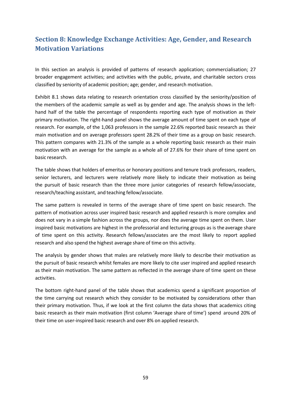# **Section 8: Knowledge Exchange Activities: Age, Gender, and Research Motivation Variations**

In this section an analysis is provided of patterns of research application; commercialisation; 27 broader engagement activities; and activities with the public, private, and charitable sectors cross classified by seniority of academic position; age; gender, and research motivation.

Exhibit 8.1 shows data relating to research orientation cross classified by the seniority/position of the members of the academic sample as well as by gender and age. The analysis shows in the lefthand half of the table the percentage of respondents reporting each type of motivation as their primary motivation. The right-hand panel shows the average amount of time spent on each type of research. For example, of the 1,063 professors in the sample 22.6% reported basic research as their main motivation and on average professors spent 28.2% of their time as a group on basic research. This pattern compares with 21.3% of the sample as a whole reporting basic research as their main motivation with an average for the sample as a whole all of 27.6% for their share of time spent on basic research.

The table shows that holders of emeritus or honorary positions and tenure track professors, readers, senior lecturers, and lecturers were relatively more likely to indicate their motivation as being the pursuit of basic research than the three more junior categories of research fellow/associate, research/teaching assistant, and teaching fellow/associate.

The same pattern is revealed in terms of the average share of time spent on basic research. The pattern of motivation across user inspired basic research and applied research is more complex and does not vary in a simple fashion across the groups, nor does the average time spent on them. User inspired basic motivations are highest in the professorial and lecturing groups as is the average share of time spent on this activity. Research fellows/associates are the most likely to report applied research and also spend the highest average share of time on this activity.

The analysis by gender shows that males are relatively more likely to describe their motivation as the pursuit of basic research whilst females are more likely to cite user inspired and applied research as their main motivation. The same pattern as reflected in the average share of time spent on these activities.

The bottom right-hand panel of the table shows that academics spend a significant proportion of the time carrying out research which they consider to be motivated by considerations other than their primary motivation. Thus, if we look at the first column the data shows that academics citing basic research as their main motivation (first column 'Average share of time') spend around 20% of their time on user-inspired basic research and over 8% on applied research.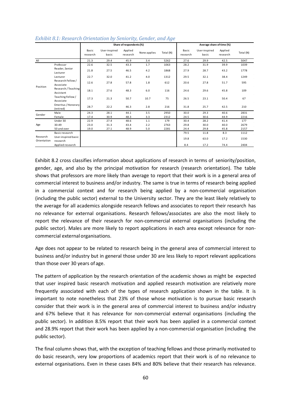|                         |                                  | Share of respondents (%) |                        |                     |              | Average share of time (%) |                   |                        |                     |           |
|-------------------------|----------------------------------|--------------------------|------------------------|---------------------|--------------|---------------------------|-------------------|------------------------|---------------------|-----------|
|                         |                                  | Basic<br>research        | User-inspired<br>basic | Applied<br>research | None applies | Total (N)                 | Basic<br>research | User-inspired<br>basic | Applied<br>research | Total (N) |
| All                     |                                  | 21.3                     | 29.4                   | 45.9                | 3.4          | 5262                      | 27.6              | 29.9                   | 42.5                | 5047      |
|                         | Professor                        | 22.6                     | 32.5                   | 43.3                | 1.7          | 1063                      | 28.2              | 31.9                   | 39.9                | 1039      |
|                         | Reader, Senior<br>Lecturer       | 21.8                     | 27.5                   | 46.5                | 4.2          | 1868                      | 27.9              | 28.7                   | 43.2                | 1778      |
|                         | Lecturer                         | 22.7                     | 32.0                   | 41.2                | 4.0          | 1312                      | 29.5              | 32.1                   | 38.4                | 1249      |
| Position                | Research Fellow /<br>Associate   | 12.6                     | 27.8                   | 57.8                | 1.8          | 612                       | 20.6              | 27.8                   | 51.7                | 595       |
|                         | Research / Teaching<br>Assistant | 18.1                     | 27.6                   | 48.3                | $6.0$        | 116                       | 24.6              | 29.6                   | 45.8                | 109       |
|                         | Teaching Fellow /<br>Associate   | 17.3                     | 21.3                   | 50.7                | 10.7         | 75                        | 26.5              | 23.1                   | 50.4                | 67        |
|                         | Emeritus / Honorary<br>(retired) | 28.7                     | 22.2                   | 46.3                | 2.8          | 216                       | 31.8              | 25.7                   | 42.5                | 210       |
| Gender                  | Male                             | 24.3                     | 28.1                   | 44.1                | 3.5          | 2950                      | 30.0              | 29.3                   | 40.6                | 2831      |
|                         | Female                           | 17.4                     | 30.9                   | 48.3                | 3.3          | 2312                      | 24.5              | 30.6                   | 44.9                | 2216      |
|                         | Under 30                         | 22.9                     | 27.4                   | 48.6                | 1.1          | 179                       | 30.4              | 28.2                   | 41.4                | 177       |
| Age                     | 30-49                            | 23.0                     | 31.3                   | 43.4                | 2.2          | 2763                      | 29.8              | 30.0                   | 40.0                | 2679      |
|                         | 50 and over                      | 19.0                     | 27.1                   | 48.9                | 5.0          | 2281                      | 24.4              | 29.8                   | 45.8                | 2157      |
| Research<br>Orientation | Basic research                   |                          |                        |                     |              |                           | 79.5              | 11.8                   | 8.3                 | 1112      |
|                         | User-inspired basic              |                          |                        |                     |              |                           | 19.8              | 63.0                   | 17.2                | 1530      |
|                         | research                         |                          |                        |                     |              |                           |                   |                        |                     |           |
|                         | Applied research                 |                          |                        |                     |              |                           | 8.4               | 17.2                   | 74.4                | 2404      |

*Exhibit 8.1: Research Orientation by Seniority, Gender, and Age*

[Exhibit 8.2](#page-60-0) cross classifies information about applications of research in terms of seniority/position, gender, age, and also by the principal motivation for research (research orientation). The table shows that professors are more likely than average to report that their work is in a general area of commercial interest to business and/or industry. The same is true in terms of research being applied in a commercial context and for research being applied by a non-commercial organisation (including the public sector) external to the University sector. They are the least likely relatively to the average for all academics alongside research fellows and associates to report their research has no relevance for external organisations. Research fellows/associates are also the most likely to report the relevance of their research for non-commercial external organisations (including the public sector). Males are more likely to report applications in each area except relevance for noncommercial externalorganisations.

Age does not appear to be related to research being in the general area of commercial interest to business and/or industry but in general those under 30 are less likely to report relevant applications than those over 30 years of age.

The pattern of application by the research orientation of the academic shows as might be expected that user inspired basic research motivation and applied research motivation are relatively more frequently associated with each of the types of research application shown in the table. It is important to note nonetheless that 23% of those whose motivation is to pursue basic research consider that their work is in the general area of commercial interest to business and/or industry and 67% believe that it has relevance for non-commercial external organisations (including the public sector). In addition 8.5% report that their work has been applied in a commercial context and 28.9% report that their work has been applied by a non-commercial organisation (including the public sector).

The final column shows that, with the exception of teaching fellows and those primarily motivated to do basic research, very low proportions of academics report that their work is of no relevance to external organisations. Even in these cases 84% and 80% believe that their research has relevance.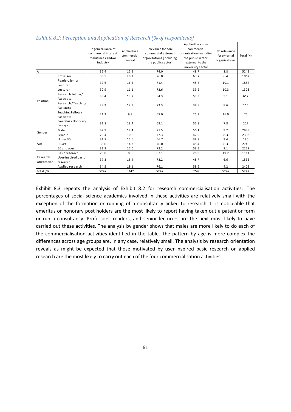|                         |                                  | In general area of<br>commercial interest<br>to business and/or<br>industry | Applied in a<br>commercial<br>context | Relevance for non-<br>commercial external<br>organisations (including<br>the public sector) | Applied by a non-<br>commercial<br>organisation (including<br>the public sector)<br>external to the<br>university sector | No relevance<br>for external<br>organisations | Total (N) |
|-------------------------|----------------------------------|-----------------------------------------------------------------------------|---------------------------------------|---------------------------------------------------------------------------------------------|--------------------------------------------------------------------------------------------------------------------------|-----------------------------------------------|-----------|
| All                     |                                  | 32.4                                                                        | 15.5                                  | 74.0                                                                                        | 48.7                                                                                                                     | 8.8                                           | 5242      |
|                         | Professor                        | 36.5                                                                        | 20.2                                  | 76.0                                                                                        | 63.7                                                                                                                     | 6.4                                           | 1062      |
|                         | Reader, Senior<br>Lecturer       | 32.6                                                                        | 16.5                                  | 71.4                                                                                        | 45.8                                                                                                                     | 10.1                                          | 1857      |
|                         | Lecturer                         | 30.9                                                                        | 11.1                                  | 72.6                                                                                        | 39.2                                                                                                                     | 10.3                                          | 1303      |
| Position                | Research Fellow /<br>Associate   | 30.4                                                                        | 13.7                                  | 84.3                                                                                        | 53.9                                                                                                                     | 5.1                                           | 612       |
|                         | Research / Teaching<br>Assistant | 29.3                                                                        | 12.9                                  | 73.3                                                                                        | 38.8                                                                                                                     | 8.6                                           | 116       |
|                         | Teaching Fellow /<br>Associate   | 21.3                                                                        | 9.3                                   | 68.0                                                                                        | 25.3                                                                                                                     | 16.0                                          | 75        |
|                         | Emeritus / Honorary<br>(retired) | 31.8                                                                        | 18.4                                  | 69.1                                                                                        | 55.8                                                                                                                     | 7.8                                           | 217       |
|                         | Male                             | 37.9                                                                        | 19.4                                  | 71.5                                                                                        | 50.1                                                                                                                     | 9.2                                           | 2939      |
| Gender                  | Female                           | 25.4                                                                        | 10.6                                  | 77.3                                                                                        | 47.0                                                                                                                     | 8.3                                           | 2303      |
|                         | Under 30                         | 31.7                                                                        | 15.6                                  | 66.7                                                                                        | 38.9                                                                                                                     | 9.4                                           | 180       |
| Age                     | 30-49                            | 33.0                                                                        | 14.2                                  | 76.0                                                                                        | 45.4                                                                                                                     | 8.3                                           | 2746      |
|                         | 50 and over                      | 31.9                                                                        | 17.0                                  | 72.2                                                                                        | 53.5                                                                                                                     | 9.1                                           | 2279      |
| Research<br>Orientation | Basic research                   | 23.0                                                                        | 8.5                                   | 67.1                                                                                        | 28.9                                                                                                                     | 19.2                                          | 1111      |
|                         | User-inspired basic<br>research  | 37.3                                                                        | 15.4                                  | 78.2                                                                                        | 48.7                                                                                                                     | 6.6                                           | 1535      |
|                         | Applied research                 | 34.5                                                                        | 19.1                                  | 76.1                                                                                        | 59.6                                                                                                                     | 4.2                                           | 2409      |
| Total (N)               |                                  | 5242                                                                        | 5242                                  | 5242                                                                                        | 5242                                                                                                                     | 5242                                          | 5242      |

#### <span id="page-60-0"></span>*Exhibit 8.2: Perception and Application of Research (% of respondents)*

Exhibit 8.3 repeats the analysis of Exhibit 8.2 for research commercialisation activities. The percentages of social science academics involved in these activities are relatively small with the exception of the formation or running of a consultancy linked to research. It is noticeable that emeritus or honorary post holders are the most likely to report having taken out a patent or form or run a consultancy. Professors, readers, and senior lecturers are the next most likely to have carried out these activities. The analysis by gender shows that males are more likely to do each of the commercialisation activities identified in the table. The pattern by age is more complex the differences across age groups are, in any case, relatively small. The analysis by research orientation reveals as might be expected that those motivated by user-inspired basic research or applied research are the most likely to carry out each of the four commercialisation activities.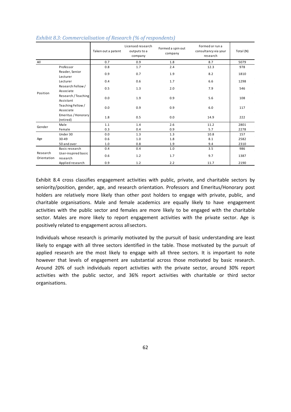|                         |                                  | Taken out a patent | Licensed research<br>outputs to a<br>company | Formed a spin out<br>company | Formed or run a<br>consultancy via your<br>research | Total (N) |  |
|-------------------------|----------------------------------|--------------------|----------------------------------------------|------------------------------|-----------------------------------------------------|-----------|--|
| All                     |                                  | 0.7<br>0.9         |                                              | 1.8                          | 8.7                                                 | 5079      |  |
|                         | Professor                        | 0.8                | 1.7                                          | 2.4                          | 12.3                                                | 978       |  |
|                         | Reader, Senior<br>Lecturer       | 0.9                |                                              | 1.9                          | 8.2                                                 | 1810      |  |
|                         | Lecturer                         | 0.4                | 0.6                                          | 1.7                          | 6.6                                                 | 1298      |  |
| Position                | Research Fellow /<br>Associate   | 0.5                | 1.3                                          | 2.0                          | 7.9                                                 | 546       |  |
|                         | Research / Teaching<br>Assistant | 0.0                | 1.9                                          | 0.9                          | 5.6                                                 | 108       |  |
|                         | Teaching Fellow /<br>Associate   | 0.0                | 0.9                                          | 0.9                          | 6.0                                                 | 117       |  |
|                         | Emeritus / Honorary<br>(retired) | 1.8                | 0.5                                          | 0.0                          | 14.9                                                | 222       |  |
| Gender                  | Male                             | 1.1                | 1.4                                          | 2.6                          | 11.2                                                | 2801      |  |
|                         | Female                           | 0.3                | 0.4                                          | 0.9                          | 5.7                                                 | 2278      |  |
| Age                     | Under 30                         | 0.0                | 1.3                                          | 1.3                          | 10.8                                                | 157       |  |
|                         | 30-49                            | 0.6                | 1.0                                          | 1.8                          | 8.1                                                 | 2582      |  |
|                         | 50 and over                      | 1.0                | 0.8                                          | 1.9                          | 9.4                                                 | 2310      |  |
| Research<br>Orientation | Basic research                   | 0.4                | 0.4                                          | 1.0                          | 3.5                                                 | 986       |  |
|                         | User-inspired basic<br>research  | 0.6                | 1.2                                          | 1.7                          | 9.7                                                 | 1387      |  |
|                         | Applied research                 | 0.9                | 1.2                                          | 2.2                          | 11.7                                                | 2190      |  |

#### *Exhibit 8.3: Commercialisation of Research (% of respondents)*

[Exhibit 8.4](#page-62-0) cross classifies engagement activities with public, private, and charitable sectors by seniority/position, gender, age, and research orientation. Professors and Emeritus/Honorary post holders are relatively more likely than other post holders to engage with private, public, and charitable organisations. Male and female academics are equally likely to have engagement activities with the public sector and females are more likely to be engaged with the charitable sector. Males are more likely to report engagement activities with the private sector. Age is positively related to engagement across allsectors.

Individuals whose research is primarily motivated by the pursuit of basic understanding are least likely to engage with all three sectors identified in the table. Those motivated by the pursuit of applied research are the most likely to engage with all three sectors. It is important to note however that levels of engagement are substantial across those motivated by basic research. Around 20% of such individuals report activities with the private sector, around 30% report activities with the public sector, and 36% report activities with charitable or third sector organisations.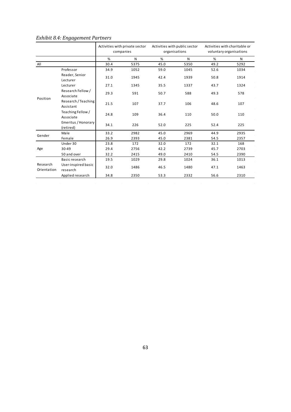|                         |                                  | Activities with private sector<br>companies |      | Activities with public sector<br>organisations |      | Activities with charitable or<br>voluntary organisations |      |
|-------------------------|----------------------------------|---------------------------------------------|------|------------------------------------------------|------|----------------------------------------------------------|------|
|                         |                                  | %                                           | N    | %                                              | N    | %                                                        | N    |
| All                     |                                  | 30.4                                        | 5375 | 45.0                                           | 5350 | 49.2                                                     | 5292 |
|                         | Professor                        | 34.9                                        | 1052 | 59.0                                           | 1045 | 52.6                                                     | 1034 |
|                         | Reader, Senior<br>Lecturer       | 31.0                                        | 1945 | 42.4                                           | 1939 | 50.8                                                     | 1914 |
|                         | Lecturer                         | 27.1                                        | 1345 | 35.5                                           | 1337 | 43.7                                                     | 1324 |
| Position                | Research Fellow /<br>Associate   | 29.3                                        | 591  | 50.7                                           | 588  | 49.3                                                     | 578  |
|                         | Research / Teaching<br>Assistant | 21.5                                        | 107  | 37.7                                           | 106  | 48.6                                                     | 107  |
|                         | Teaching Fellow /<br>Associate   | 24.8                                        | 109  | 36.4                                           | 110  | 50.0                                                     | 110  |
|                         | Emeritus / Honorary<br>(retired) | 34.1                                        | 226  | 52.0                                           | 225  | 52.4                                                     | 225  |
| Gender                  | Male                             | 33.2                                        | 2982 | 45.0                                           | 2969 | 44.9                                                     | 2935 |
|                         | Female                           | 26.9                                        | 2393 | 45.0                                           | 2381 | 54.5                                                     | 2357 |
|                         | Under 30                         | 23.8                                        | 172  | 32.0                                           | 172  | 32.1                                                     | 168  |
| Age                     | 30-49                            | 29.4                                        | 2756 | 42.2                                           | 2739 | 45.7                                                     | 2703 |
|                         | 50 and over                      | 32.2                                        | 2415 | 49.0                                           | 2410 | 54.5                                                     | 2390 |
| Research<br>Orientation | Basic research                   | 19.5                                        | 1029 | 29.8                                           | 1024 | 36.1                                                     | 1013 |
|                         | User-inspired basic<br>research  | 32.0                                        | 1486 | 46.5                                           | 1480 | 47.1                                                     | 1463 |
|                         | Applied research                 | 34.8                                        | 2350 | 53.3                                           | 2332 | 56.6                                                     | 2310 |

# <span id="page-62-0"></span>*Exhibit 8.4: Engagement Partners*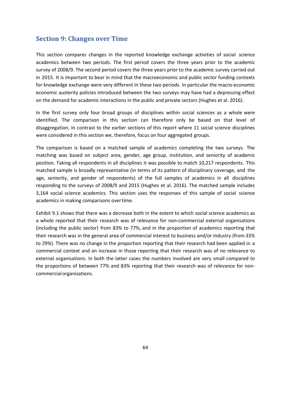## **Section 9: Changes over Time**

This section compares changes in the reported knowledge exchange activities of social science academics between two periods. The first period covers the three years prior to the academic survey of 2008/9. The second period covers the three years prior to the academic survey carried out in 2015. It is important to bear in mind that the macroeconomic and public sector funding contexts for knowledge exchange were very different in these two periods. In particular the macro-economic economic austerity policies introduced between the two surveys may have had a depressing effect on the demand for academic interactions in the public and private sectors (Hughes et al. 2016).

In the first survey only four broad groups of disciplines within social sciences as a whole were identified. The comparison in this section can therefore only be based on that level of disaggregation. In contrast to the earlier sections of this report where 11 social science disciplines were considered in this section we, therefore, focus on four aggregated groups.

The comparison is based on a matched sample of academics completing the two surveys. The matching was based on subject area, gender, age group, institution, and seniority of academic position. Taking all respondents in all disciplines it was possible to match 10,217 respondents. This matched sample is broadly representative (in terms of its pattern of disciplinary coverage, and the age, seniority, and gender of respondents) of the full samples of academics in all disciplines responding to the surveys of 2008/9 and 2015 (Hughes et al. 2016). The matched sample includes 3,164 social science academics. This section uses the responses of this sample of social science academics in making comparisons overtime.

Exhibit 9.1 shows that there was a decrease both in the extent to which social science academics as a whole reported that their research was of relevance for non-commercial external organisations (including the public sector) from 83% to 77%, and in the proportion of academics reporting that their research was in the general area of commercial interest to business and/or industry (from 33% to 29%). There was no change in the proportion reporting that their research had been applied in a commercial context and an increase in those reporting that their research was of no relevance to external organisations. In both the latter cases the numbers involved are very small compared to the proportions of between 77% and 83% reporting that their research was of relevance for noncommercial organisations.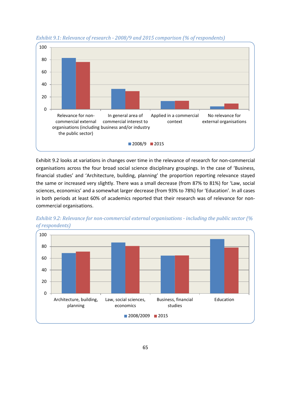

*Exhibit 9.1: Relevance of research - 2008/9 and 2015 comparison (% of respondents)*

[Exhibit 9.2](#page-64-0) looks at variations in changes over time in the relevance of research for non-commercial organisations across the four broad social science disciplinary groupings. In the case of 'Business, financial studies' and 'Architecture, building, planning' the proportion reporting relevance stayed the same or increased very slightly. There was a small decrease (from 87% to 81%) for 'Law, social sciences, economics' and a somewhat larger decrease (from 93% to 78%) for 'Education'. In all cases in both periods at least 60% of academics reported that their research was of relevance for noncommercial organisations.



<span id="page-64-0"></span>*Exhibit 9.2: Relevance for non-commercial external organisations - including the public sector (% of respondents)*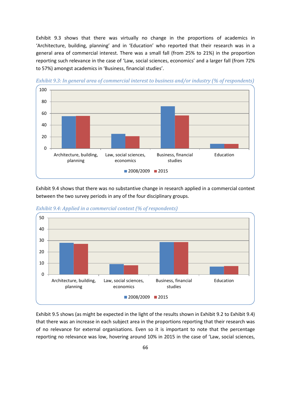[Exhibit 9.3](#page-65-0) shows that there was virtually no change in the proportions of academics in 'Architecture, building, planning' and in 'Education' who reported that their research was in a general area of commercial interest. There was a small fall (from 25% to 21%) in the proportion reporting such relevance in the case of 'Law, social sciences, economics' and a larger fall (from 72% to 57%) amongst academics in 'Business, financial studies'.



<span id="page-65-0"></span>*Exhibit 9.3: In general area of commercial interest to business and/or industry (% of respondents)*

[Exhibit 9.4](#page-65-1) shows that there was no substantive change in research applied in a commercial context between the two survey periods in any of the four disciplinary groups.



<span id="page-65-1"></span>*Exhibit 9.4: Applied in a commercial context (% of respondents)*

[Exhibit 9.5](#page-66-0) shows (as might be expected in the light of the results shown in [Exhibit 9.2](#page-64-0) t[o Exhibit 9.4\)](#page-65-1) that there was an increase in each subject area in the proportions reporting that their research was of no relevance for external organisations. Even so it is important to note that the percentage reporting no relevance was low, hovering around 10% in 2015 in the case of 'Law, social sciences,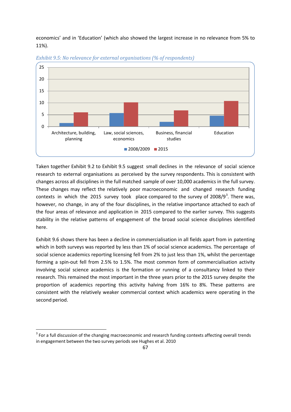economics' and in 'Education' (which also showed the largest increase in no relevance from 5% to 11%).



<span id="page-66-0"></span>*Exhibit 9.5: No relevance for external organisations (% of respondents)*

Taken together [Exhibit 9.2](#page-64-0) to [Exhibit 9.5](#page-66-0) suggest small declines in the relevance of social science research to external organisations as perceived by the survey respondents. This is consistent with changes across all disciplines in the full matched sample of over 10,000 academics in the full survey. These changes may reflect the relatively poor macroeconomic and changed research funding contexts in which the 2015 survey took place compared to the survey of 2008/9<sup>[3](#page-66-1)</sup>. There was, however, no change, in any of the four disciplines, in the relative importance attached to each of the four areas of relevance and application in 2015 compared to the earlier survey. This suggests stability in the relative patterns of engagement of the broad social science disciplines identified here.

Exhibit 9.6 shows there has been a decline in commercialisation in all fields apart from in patenting which in both surveys was reported by less than 1% of social science academics. The percentage of social science academics reporting licensing fell from 2% to just less than 1%, whilst the percentage forming a spin-out fell from 2.5% to 1.5%. The most common form of commercialisation activity involving social science academics is the formation or running of a consultancy linked to their research. This remained the most important in the three years prior to the 2015 survey despite the proportion of academics reporting this activity halving from 16% to 8%. These patterns are consistent with the relatively weaker commercial context which academics were operating in the second period.

 $\overline{\phantom{a}}$ 

<span id="page-66-1"></span><sup>&</sup>lt;sup>3</sup> For a full discussion of the changing macroeconomic and research funding contexts affecting overall trends in engagement between the two survey periods see Hughes et al. 2010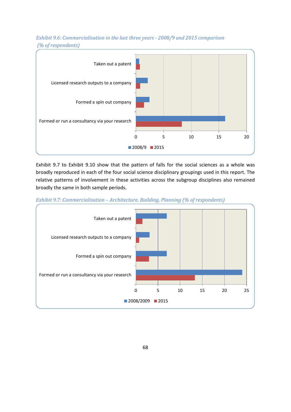

*Exhibit 9.6: Commercialisation in the last three years - 2008/9 and 2015 comparison (% of respondents)*

[Exhibit 9.7](#page-67-0) to [Exhibit 9.10](#page-69-0) show that the pattern of falls for the social sciences as a whole was broadly reproduced in each of the four social science disciplinary groupings used in this report. The relative patterns of involvement in these activities across the subgroup disciplines also remained broadly the same in both sample periods.

<span id="page-67-0"></span>

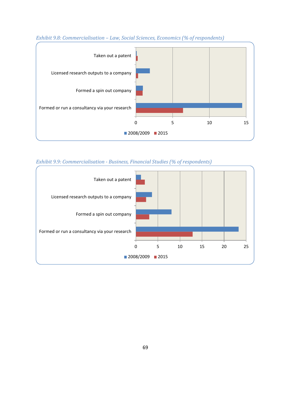

## *Exhibit 9.8: Commercialisation – Law, Social Sciences, Economics (% of respondents)*

*Exhibit 9.9: Commercialisation - Business, Financial Studies (% of respondents)*

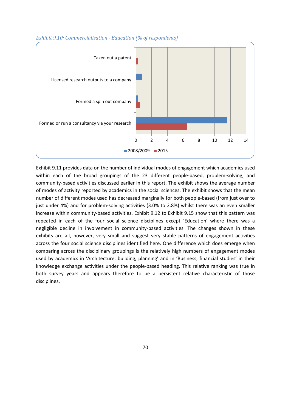

#### <span id="page-69-0"></span>*Exhibit 9.10: Commercialisation - Education (% of respondents)*

[Exhibit 9.11](#page-70-0) provides data on the number of individual modes of engagement which academics used within each of the broad groupings of the 23 different people-based, problem-solving, and community-based activities discussed earlier in this report. The exhibit shows the average number of modes of activity reported by academics in the social sciences. The exhibit shows that the mean number of different modes used has decreased marginally for both people-based (from just over to just under 4%) and for problem-solving activities (3.0% to 2.8%) whilst there was an even smaller increase within community-based activities. [Exhibit 9.12](#page-70-1) to [Exhibit 9.15](#page-72-0) show that this pattern was repeated in each of the four social science disciplines except 'Education' where there was a negligible decline in involvement in community-based activities. The changes shown in these exhibits are all, however, very small and suggest very stable patterns of engagement activities across the four social science disciplines identified here. One difference which does emerge when comparing across the disciplinary groupings is the relatively high numbers of engagement modes used by academics in 'Architecture, building, planning' and in 'Business, financial studies' in their knowledge exchange activities under the people-based heading. This relative ranking was true in both survey years and appears therefore to be a persistent relative characteristic of those disciplines.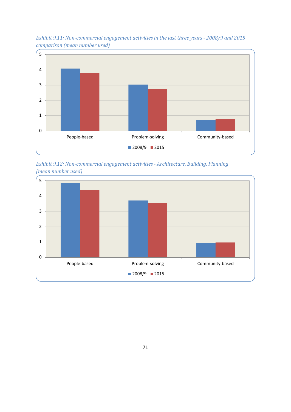

<span id="page-70-0"></span>*Exhibit 9.11: Non-commercial engagement activities in the last three years - 2008/9 and 2015 comparison (mean number used)*

<span id="page-70-1"></span>*Exhibit 9.12: Non-commercial engagement activities - Architecture, Building, Planning (mean number used)*

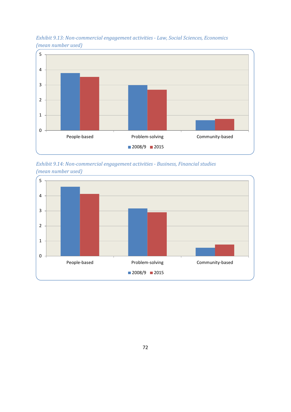

*Exhibit 9.13: Non-commercial engagement activities - Law, Social Sciences, Economics (mean number used)*

*Exhibit 9.14: Non-commercial engagement activities - Business, Financial studies (mean number used)*

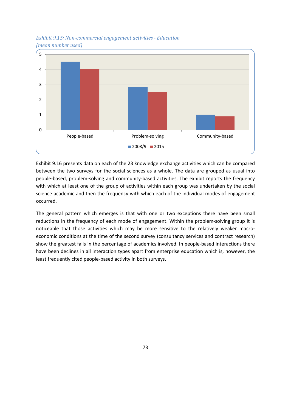

*Exhibit 9.15: Non-commercial engagement activities - Education (mean number used)*

[Exhibit 9.16](#page-73-0) presents data on each of the 23 knowledge exchange activities which can be compared between the two surveys for the social sciences as a whole. The data are grouped as usual into people-based, problem-solving and community-based activities. The exhibit reports the frequency with which at least one of the group of activities within each group was undertaken by the social science academic and then the frequency with which each of the individual modes of engagement occurred.

The general pattern which emerges is that with one or two exceptions there have been small reductions in the frequency of each mode of engagement. Within the problem-solving group it is noticeable that those activities which may be more sensitive to the relatively weaker macroeconomic conditions at the time of the second survey (consultancy services and contract research) show the greatest falls in the percentage of academics involved. In people-based interactions there have been declines in all interaction types apart from enterprise education which is, however, the least frequently cited people-based activity in both surveys.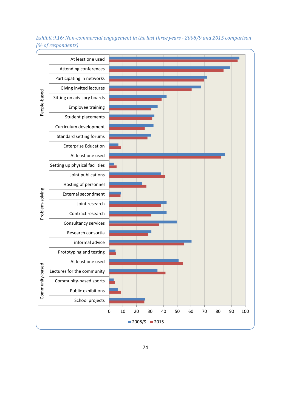At least one used Attending conferences Participating in networks Giving invited lectures People-based Community-based Problem-solving People-based Sitting on advisory boards Employee training Student placements Curriculum development Standard setting forums Enterprise Education At least one used Setting up physical facilities Joint publications Hosting of personnel Problem-solving External secondment Joint research Contract research Consultancy services Research consortia informal advice Prototyping and testing At least one used Community-based Lectures for the community Community-based sports Public exhibitions School projects 0 10 20 30 40 50 60 70 80 90 100 ■2008/9 2015

<span id="page-73-0"></span>*Exhibit 9.16: Non-commercial engagement in the last three years - 2008/9 and 2015 comparison (% of respondents)*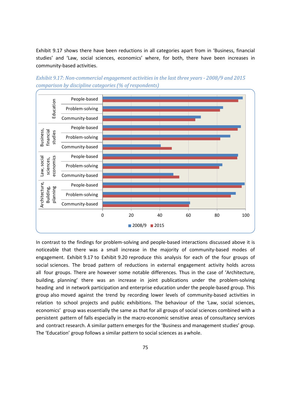[Exhibit 9.17](#page-74-0) shows there have been reductions in all categories apart from in 'Business, financial studies' and 'Law, social sciences, economics' where, for both, there have been increases in community-based activities.



<span id="page-74-0"></span>*Exhibit 9.17: Non-commercial engagement activities in the last three years - 2008/9 and 2015 comparison by discipline categories (% of respondents)*

In contrast to the findings for problem-solving and people-based interactions discussed above it is noticeable that there was a small increase in the majority of community-based modes of engagement. [Exhibit 9.17](#page-74-0) to [Exhibit 9.20](#page-77-0) reproduce this analysis for each of the four groups of social sciences. The broad pattern of reductions in external engagement activity holds across all four groups. There are however some notable differences. Thus in the case of 'Architecture, building, planning' there was an increase in joint publications under the problem-solving heading and in network participation and enterprise education under the people-based group. This group also moved against the trend by recording lower levels of community-based activities in relation to school projects and public exhibitions. The behaviour of the 'Law, social sciences, economics' group was essentially the same as that for all groups of social sciences combined with a persistent pattern of falls especially in the macro-economic sensitive areas of consultancy services and contract research. A similar pattern emerges for the 'Business and management studies' group. The 'Education' group follows a similar pattern to social sciences as awhole.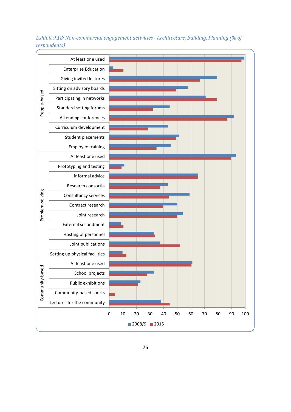

*Exhibit 9.18: Non-commercial engagement activities - Architecture, Building, Planning (% of respondents)*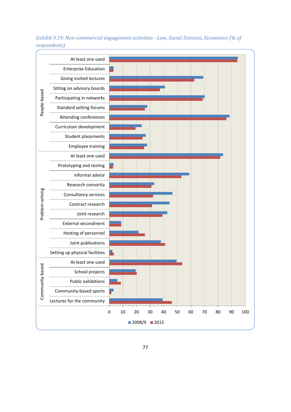

*Exhibit 9.19: Non-commercial engagement activities - Law, Social Sciences, Economics (% of respondents)*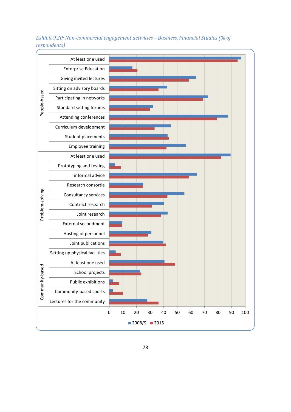

<span id="page-77-0"></span>*Exhibit 9.20: Non-commercial engagement activities – Business, Financial Studies (% of respondents)*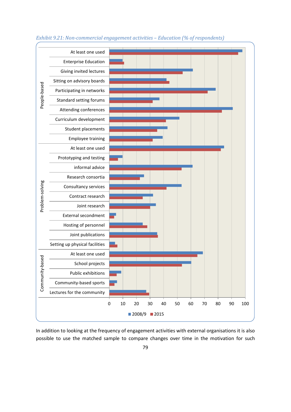

*Exhibit 9.21: Non-commercial engagement activities – Education (% of respondents)*

In addition to looking at the frequency of engagement activities with external organisations it is also possible to use the matched sample to compare changes over time in the motivation for such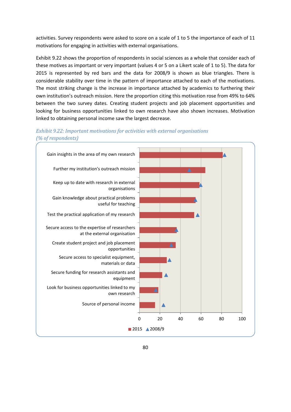activities. Survey respondents were asked to score on a scale of 1 to 5 the importance of each of 11 motivations for engaging in activities with external organisations.

[Exhibit 9.22](#page-79-0) shows the proportion of respondents in social sciences as a whole that consider each of these motives as important or very important (values 4 or 5 on a Likert scale of 1 to 5). The data for 2015 is represented by red bars and the data for 2008/9 is shown as blue triangles. There is considerable stability over time in the pattern of importance attached to each of the motivations. The most striking change is the increase in importance attached by academics to furthering their own institution's outreach mission. Here the proportion citing this motivation rose from 49% to 64% between the two survey dates. Creating student projects and job placement opportunities and looking for business opportunities linked to own research have also shown increases. Motivation linked to obtaining personal income saw the largest decrease.



<span id="page-79-0"></span>*Exhibit 9.22: Important motivations for activities with external organisations (% of respondents)*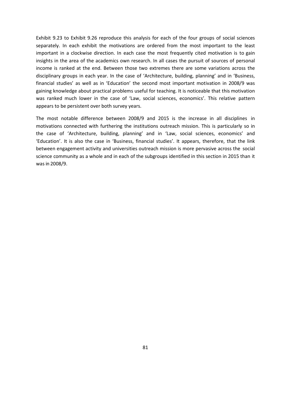[Exhibit 9.23](#page-81-0) to [Exhibit 9.26](#page-84-0) reproduce this analysis for each of the four groups of social sciences separately. In each exhibit the motivations are ordered from the most important to the least important in a clockwise direction. In each case the most frequently cited motivation is to gain insights in the area of the academics own research. In all cases the pursuit of sources of personal income is ranked at the end. Between those two extremes there are some variations across the disciplinary groups in each year. In the case of 'Architecture, building, planning' and in 'Business, financial studies' as well as in 'Education' the second most important motivation in 2008/9 was gaining knowledge about practical problems useful for teaching. It is noticeable that this motivation was ranked much lower in the case of 'Law, social sciences, economics'. This relative pattern appears to be persistent over both survey years.

The most notable difference between 2008/9 and 2015 is the increase in all disciplines in motivations connected with furthering the institutions outreach mission. This is particularly so in the case of 'Architecture, building, planning' and in 'Law, social sciences, economics' and 'Education'. It is also the case in 'Business, financial studies'. It appears, therefore, that the link between engagement activity and universities outreach mission is more pervasive across the social science community as a whole and in each of the subgroups identified in this section in 2015 than it was in 2008/9.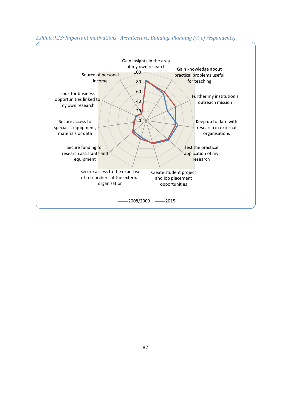

#### <span id="page-81-0"></span>*Exhibit 9.23: Important motivations - Architecture, Building, Planning (% of respondents)*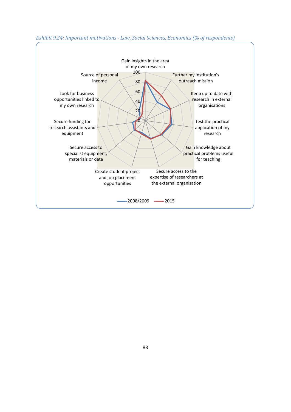

#### *Exhibit 9.24: Important motivations - Law, Social Sciences, Economics (% of respondents)*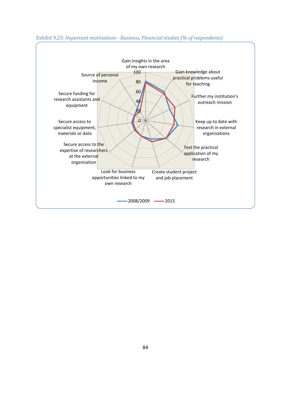

#### *Exhibit 9.25: Important motivations - Business, Financial studies (% of respondents)*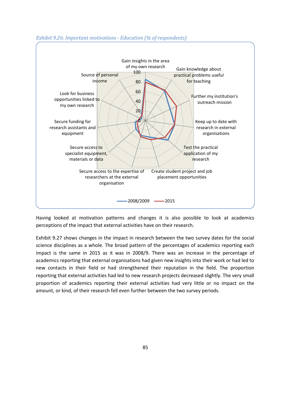

## <span id="page-84-0"></span>*Exhibit 9.26: Important motivations - Education (% of respondents)*

Having looked at motivation patterns and changes it is also possible to look at academics perceptions of the impact that external activities have on their research.

[Exhibit 9.27](#page-85-0) shows changes in the impact in research between the two survey dates for the social science disciplines as a whole. The broad pattern of the percentages of academics reporting each impact is the same in 2015 as it was in 2008/9. There was an increase in the percentage of academics reporting that external organisations had given new insights into their work or had led to new contacts in their field or had strengthened their reputation in the field. The proportion reporting that external activities had led to new research projects decreased slightly. The very small proportion of academics reporting their external activities had very little or no impact on the amount, or kind, of their research fell even further between the two survey periods.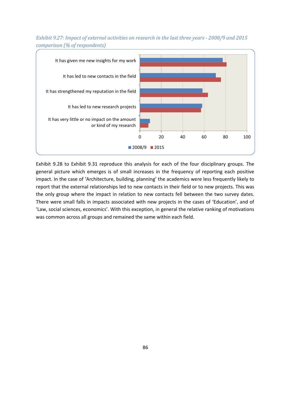

<span id="page-85-0"></span>*Exhibit 9.27: Impact of external activities on research in the last three years - 2008/9 and 2015 comparison (% of respondents)*

[Exhibit 9.28](#page-86-0) to [Exhibit 9.31](#page-87-0) reproduce this analysis for each of the four disciplinary groups. The general picture which emerges is of small increases in the frequency of reporting each positive impact. In the case of 'Architecture, building, planning' the academics were less frequently likely to report that the external relationships led to new contacts in their field or to new projects. This was the only group where the impact in relation to new contacts fell between the two survey dates. There were small falls in impacts associated with new projects in the cases of 'Education', and of 'Law, social sciences, economics'. With this exception, in general the relative ranking of motivations was common across all groups and remained the same within each field.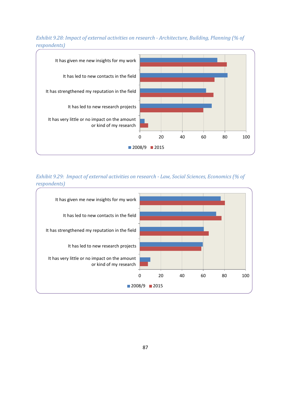<span id="page-86-0"></span>



*Exhibit 9.29: Impact of external activities on research - Law, Social Sciences, Economics (% of respondents)*

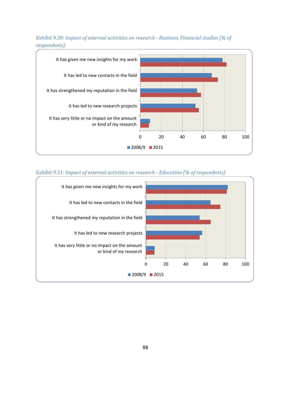

## *Exhibit 9.30: Impact of external activities on research - Business, Financial studies (% of respondents)*

#### <span id="page-87-0"></span>*Exhibit 9.31: Impact of external activities on research - Education (% of respondents)*

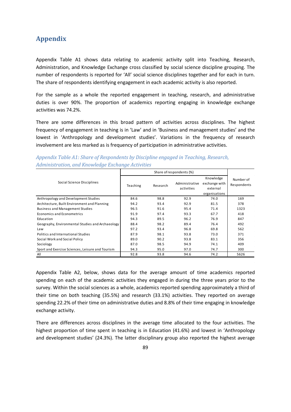## **Appendix**

[Appendix Table A1](#page-88-0) shows data relating to academic activity split into Teaching, Research, Administration, and Knowledge Exchange cross classified by social science discipline grouping. The number of respondents is reported for 'All' social science disciplines together and for each in turn. The share of respondents identifying engagement in each academic activity is also reported.

For the sample as a whole the reported engagement in teaching, research, and administrative duties is over 90%. The proportion of academics reporting engaging in knowledge exchange activities was 74.2%.

There are some differences in this broad pattern of activities across disciplines. The highest frequency of engagement in teaching is in 'Law' and in 'Business and management studies' and the lowest in 'Anthropology and development studies'. Variations in the frequency of research involvement are less marked as is frequency of participation in administrative activities.

| Social Science Disciplines                       | Teaching | Research | Administrative<br>activities | Knowledge<br>exchange with<br>external<br>organisations | Number of<br>Respondents |  |
|--------------------------------------------------|----------|----------|------------------------------|---------------------------------------------------------|--------------------------|--|
| Anthropology and Development Studies             | 84.6     | 98.8     | 92.9                         | 74.0                                                    | 169                      |  |
| Architecture, Built Environment and Planning     | 94.2     | 93.4     | 92.9                         | 81.5                                                    | 378                      |  |
| <b>Business and Management Studies</b>           | 96.5     | 91.6     | 95.4                         | 71.4                                                    | 1323                     |  |
| Economics and Econometrics                       | 91.9     | 97.4     | 93.3                         | 67.7                                                    | 418                      |  |
| Education                                        | 94.3     | 89.5     | 96.2                         | 76.9                                                    | 847                      |  |
| Geography, Environmental Studies and Archaeology | 88.4     | 98.2     | 89.4                         | 76.4                                                    | 492                      |  |
| Law                                              | 97.2     | 93.4     | 96.8                         | 69.8                                                    | 562                      |  |
| Politics and International Studies               | 87.9     | 98.1     | 93.8                         | 73.0                                                    | 371                      |  |
| Social Work and Social Policy                    | 89.0     | 90.2     | 93.8                         | 83.1                                                    | 356                      |  |
| Sociology                                        | 87.0     | 98.5     | 94.9                         | 74.1                                                    | 409                      |  |
| Sport and Exercise Sciences, Leisure and Tourism | 94.3     | 95.0     | 97.0                         | 74.7                                                    | 300                      |  |
| All                                              | 92.8     | 93.8     | 94.6                         | 74.2                                                    | 5626                     |  |

<span id="page-88-0"></span>*Appendix Table A1: Share of Respondents by Discipline engaged in Teaching, Research, Administration, and Knowledge Exchange Activities*

[Appendix Table A2,](#page-89-0) below, shows data for the average amount of time academics reported spending on each of the academic activities they engaged in during the three years prior to the survey. Within the social sciences as a whole, academics reported spending approximately a third of their time on both teaching (35.5%) and research (33.1%) activities. They reported on average spending 22.2% of their time on administrative duties and 8.8% of their time engaging in knowledge exchange activity.

There are differences across disciplines in the average time allocated to the four activities. The highest proportion of time spent in teaching is in Education (41.6%) and lowest in 'Anthropology and development studies' (24.3%). The latter disciplinary group also reported the highest average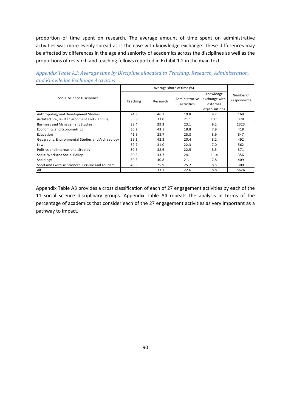proportion of time spent on research. The average amount of time spent on administrative activities was more evenly spread as is the case with knowledge exchange. These differences may be affected by differences in the age and seniority of academics across the disciplines as well as the proportions of research and teaching fellows reported in Exhibit 1.2 in the main text.

|                                                  |          |          | Average share of time (%)    |                                                         |                          |
|--------------------------------------------------|----------|----------|------------------------------|---------------------------------------------------------|--------------------------|
| Social Science Disciplines                       | Teaching | Research | Administrative<br>activities | Knowledge<br>exchange with<br>external<br>organisations | Number of<br>Respondents |
| Anthropology and Development Studies             | 24.3     | 46.7     | 19.8                         | 9.2                                                     | 169                      |
| Architecture, Built Environment and Planning     | 35.8     | 33.0     | 21.1                         | 10.1                                                    | 378                      |
| <b>Business and Management Studies</b>           | 38.4     | 29.3     | 23.1                         | 9.2                                                     | 1323                     |
| Economics and Econometrics                       | 30.2     | 43.1     | 18.8                         | 7.9                                                     | 418                      |
| Education                                        | 41.6     | 23.7     | 25.8                         | 8.9                                                     | 847                      |
| Geography, Environmental Studies and Archaeology | 29.1     | 42.3     | 20.4                         | 8.2                                                     | 492                      |
| Law                                              | 39.7     | 31.0     | 22.3                         | 7.0                                                     | 562                      |
| Politics and International Studies               | 30.5     | 38.6     | 22.5                         | 8.5                                                     | 371                      |
| Social Work and Social Policy                    | 30.8     | 33.7     | 24.1                         | 11.4                                                    | 356                      |
| Sociology                                        | 30.3     | 40.8     | 21.1                         | 7.8                                                     | 409                      |
| Sport and Exercise Sciences, Leisure and Tourism | 40.3     | 25.9     | 25.2                         | 8.5                                                     | 300                      |
| All                                              | 35.5     | 33.1     | 22.6                         | 8.8                                                     | 5626                     |

<span id="page-89-0"></span>*Appendix Table A2: Average time by Discipline allocated to Teaching, Research, Administration, and Knowledge Exchange Activities*

[Appendix Table A3](#page-90-0) provides a cross classification of each of 27 engagement activities by each of the 11 social science disciplinary groups. Appendix Table A4 repeats the analysis in terms of the percentage of academics that consider each of the 27 engagement activities as very important as a pathway to impact.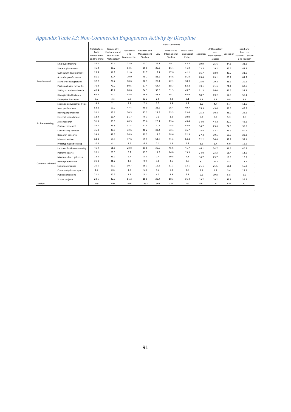# <span id="page-90-0"></span>*Appendix Table A3: Non-Commercial Engagement Activity by Discipline*

|                                    |                                | % that use mode                                       |                                                           |                                  |                                              |      |                                          |                                     |           |                                                      |           |                                                           |
|------------------------------------|--------------------------------|-------------------------------------------------------|-----------------------------------------------------------|----------------------------------|----------------------------------------------|------|------------------------------------------|-------------------------------------|-----------|------------------------------------------------------|-----------|-----------------------------------------------------------|
|                                    |                                | Architecture,<br>Built<br>Environment<br>and Planning | Geography,<br>Environmental<br>Studies and<br>Archaeology | Economics<br>and<br>Econometrics | <b>Business and</b><br>Management<br>Studies | Law  | Politics and<br>International<br>Studies | Social Work<br>and Social<br>Policy | Sociology | Anthropology<br>and<br>Development<br><b>Studies</b> | Education | Sport and<br>Exercise<br>Sciences, Leisure<br>and Tourism |
|                                    | <b>Employee training</b>       | 35.1                                                  | 22.4                                                      | 22.9                             | 43.7                                         | 29.1 | 19.1                                     | 42.5                                | 19.9      | 25.6                                                 | 34.6      | 31.2                                                      |
|                                    | Student placements             | 45.4                                                  | 35.2                                                      | 14.5                             | 39.5                                         | 20.2 | 16.4                                     | 41.9                                | 23.5      | 19.2                                                 | 35.2      | 47.2                                                      |
| People-based                       | Curriculum development         | 28.5                                                  | 16.7                                                      | 11.0                             | 31.7                                         | 18.1 | 17.8                                     | 41.1                                | 16.7      | 18.0                                                 | 40.2      | 31.6                                                      |
|                                    | Attending conferences          | 85.5                                                  | 87.4                                                      | 79.0                             | 78.1                                         | 83.2 | 84.6                                     | 91.9                                | 85.4      | 83.1                                                 | 83.2      | 84.7                                                      |
|                                    | Standard setting forums        | 37.2                                                  | 26.2                                                      | 18.6                             | 28.9                                         | 29.4 | 22.1                                     | 38.9                                | 25.0      | 19.2                                                 | 28.3      | 29.2                                                      |
|                                    | Participating in networks      | 79.9                                                  | 73.2                                                      | 50.5                             | 67.4                                         | 64.7 | 68.7                                     | 83.3                                | 73.1      | 71.5                                                 | 71.1      | 63.5                                                      |
|                                    | Sitting on advisory boards     | 46.4                                                  | 40.7                                                      | 28.6                             | 34.3                                         | 35.8 | 31.3                                     | 49.7                                | 31.3      | 36.0                                                 | 42.5      | 37.2                                                      |
|                                    | Giving invited lectures        | 67.5                                                  | 67.7                                                      | 48.6                             | 56.6                                         | 58.7 | 64.7                                     | 68.9                                | 58.7      | 69.2                                                 | 54.3      | 55.1                                                      |
| Problem-solving<br>Community-based | <b>Enterprise Education</b>    | 8.2                                                   | 4.3                                                       | 5.0                              | 22.2                                         | 2.1  | 2.2                                      | 6.1                                 | 2.7       | 5.2                                                  | 9.9       | 9.6                                                       |
|                                    | Setting up physical facilities | 14.8                                                  | 7.1                                                       | 2.9                              | 7.3                                          | 2.7  | 1.9                                      | 4.7                                 | 2.9       | 4.7                                                  | 5.7       | 11.6                                                      |
|                                    | Joint publications             | 52.8                                                  | 53.7                                                      | 47.4                             | 40.9                                         | 33.2 | 36.4                                     | 49.7                                | 35.9      | 43.0                                                 | 36.6      | 49.8                                                      |
|                                    | Hosting of personnel           | 32.2                                                  | 27.6                                                      | 20.5                             | 27.5                                         | 22.5 | 23.5                                     | 33.6                                | 25.2      | 30.8                                                 | 28.0      | 22.6                                                      |
|                                    | External secondment            | 12.9                                                  | 10.4                                                      | 11.7                             | 9.6                                          | 7.1  | 8.9                                      | 10.0                                | 6.3       | 8.7                                                  | 5.3       | 8.3                                                       |
|                                    | Joint research                 | 51.5                                                  | 53.3                                                      | 40.5                             | 35.6                                         | 26.1 | 29.4                                     | 49.4                                | 34.0      | 44.2                                                 | 32.7      | 42.2                                                      |
|                                    | Contract research              | 37.7                                                  | 36.8                                                      | 31.4                             | 27.4                                         | 20.7 | 24.5                                     | 48.9                                | 34.7      | 25.6                                                 | 24.3      | 36.5                                                      |
|                                    | Consultancy services           | 46.4                                                  | 30.9                                                      | 32.6                             | 40.2                                         | 32.4 | 33.4                                     | 36.7                                | 28.4      | 33.1                                                 | 39.5      | 40.5                                                      |
|                                    | Research consortia             | 39.8                                                  | 42.5                                                      | 26.9                             | 23.5                                         | 18.6 | 28.6                                     | 32.5                                | 27.4      | 39.5                                                 | 19.9      | 20.3                                                      |
|                                    | Informal advice                | 64.4                                                  | 58.5                                                      | 37.6                             | 55.1                                         | 51.8 | 51.2                                     | 64.4                                | 52.2      | 56.4                                                 | 52.7      | 55.1                                                      |
|                                    | Prototyping and testing        | 10.3                                                  | 4.1                                                       | 1.4                              | 6.5                                          | 2.1  | 1.3                                      | 4.7                                 | 3.6       | 1.7                                                  | 6.0       | 11.6                                                      |
|                                    | Lectures for the community     | 46.4                                                  | 61.6                                                      | 28.8                             | 31.8                                         | 39.0 | 45.6                                     | 41.7                                | 46.1      | 54.7                                                 | 31.6      | 40.5                                                      |
|                                    | Performing arts                | 20.1                                                  | 23.0                                                      | 6.7                              | 13.5                                         | 11.9 | 14.8                                     | 13.3                                | 24.0      | 23.3                                                 | 15.4      | 14.0                                                      |
|                                    | Museums & art galleries        | 18.2                                                  | 36.2                                                      | 5.7                              | 8.8                                          | 7.4  | 10.8                                     | 7.8                                 | 16.7      | 29.7                                                 | 18.8      | 12.3                                                      |
|                                    | Heritage & tourism             | 21.4                                                  | 31.7                                                      | 4.0                              | 9.9                                          | 4.8  | 3.5                                      | 3.6                                 | 8.0       | 16.3                                                 | 8.3       | 18.9                                                      |
|                                    | Social enterprises             | 26.6                                                  | 19.9                                                      | 10.7                             | 28.1                                         | 15.6 | 11.3                                     | 33.1                                | 21.1      | 21.5                                                 | 16.1      | 16.9                                                      |
|                                    | Community-based sports         | 4.2                                                   | 0.6                                                       | 1.9                              | 5.0                                          | 1.4  | 1.3                                      | 2.5                                 | 2.4       | 1.2                                                  | 3.4       | 28.2                                                      |
|                                    | Public exhibitions             | 21.1                                                  | 20.7                                                      | 1.2                              | 5.1                                          | 4.3  | 4.9                                      | 5.3                                 | 9.5       | 19.8                                                 | 5.8       | 9.3                                                       |
|                                    | School projects                | 28.5                                                  | 32.7                                                      | 11.2                             | 18.8                                         | 20.4 | 18.3                                     | 16.4                                | 19.7      | 19.2                                                 | 53.9      | 36.5                                                      |
| Total (N)                          |                                | 379                                                   | 492                                                       | 420                              | 1333                                         | 564  | 371                                      | 360                                 | 412       | 172                                                  | 855       | 301                                                       |
|                                    |                                |                                                       |                                                           |                                  |                                              |      |                                          |                                     |           |                                                      |           |                                                           |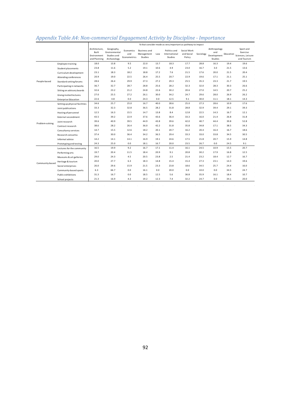# *Appendix Table A4: Non-commercial Engagement Activity by Discipline - Importance*

|                 |                                | % that consider mode as very important as pathway to impact |                                                           |                                  |                                              |      |                                          |                                     |           |                                               |           |                                                           |
|-----------------|--------------------------------|-------------------------------------------------------------|-----------------------------------------------------------|----------------------------------|----------------------------------------------|------|------------------------------------------|-------------------------------------|-----------|-----------------------------------------------|-----------|-----------------------------------------------------------|
|                 |                                | Architecture.<br>Built<br>Environment<br>and Planning       | Geography,<br>Environmental<br>Studies and<br>Archaeology | Economics<br>and<br>Econometrics | <b>Business and</b><br>Management<br>Studies | Law  | Politics and<br>International<br>Studies | Social Work<br>and Social<br>Policy | Sociology | Anthropology<br>and<br>Development<br>Studies | Education | Sport and<br>Exercise<br>Sciences, Leisure<br>and Tourism |
|                 | <b>Employee training</b>       | 18.0                                                        | 13.8                                                      | 9.5                              | 22.0                                         | 13.7 | 18.3                                     | 17.7                                | 28.8      | 16.3                                          | 19.4      | 19.6                                                      |
| People-based    | <b>Student placements</b>      | 23.8                                                        | 11.6                                                      | 5.2                              | 19.1                                         | 10.6 | 4.9                                      | 23.0                                | 16.7      | 3.0                                           | 21.5      | 13.6                                                      |
|                 | Curriculum development         | 23.1                                                        | 18.3                                                      | 18.2                             | 18.8                                         | 17.2 | 7.6                                      | 21.5                                | 17.6      | 20.0                                          | 21.5      | 20.4                                                      |
|                 | Attending conferences          | 20.9                                                        | 19.0                                                      | 22.5                             | 26.4                                         | 25.5 | 20.7                                     | 22.9                                | 19.6      | 17.1                                          | 21.1      | 25.1                                                      |
|                 | Standard setting forums        | 28.6                                                        | 26.4                                                      | 29.9                             | 27.3                                         | 27.2 | 29.3                                     | 25.5                                | 35.3      | 23.3                                          | 21.7      | 19.5                                                      |
|                 | Participating in networks      | 36.7                                                        | 32.7                                                      | 28.7                             | 28.8                                         | 25.6 | 28.2                                     | 32.3                                | 32.0      | 28.3                                          | 30.3      | 26.6                                                      |
|                 | Sitting on advisory boards     | 32.6                                                        | 23.2                                                      | 21.2                             | 24.8                                         | 22.6 | 30.2                                     | 20.6                                | 27.0      | 14.5                                          | 20.7      | 25.2                                                      |
|                 | Giving invited lectures        | 27.0                                                        | 25.5                                                      | 27.2                             | 26.1                                         | 30.0 | 34.2                                     | 24.7                                | 29.6      | 28.0                                          | 26.9      | 26.2                                                      |
|                 | <b>Enterprise Education</b>    | 22.6                                                        | 4.8                                                       | 0.0                              | 24.3                                         | 0.0  | 12.5                                     | 9.1                                 | 30.0      | 11.1                                          | 18.1      | 14.3                                                      |
|                 | Setting up physical facilities | 34.6                                                        | 25.7                                                      | 25.0                             | 16.7                                         | 40.0 | 28.6                                     | 25.0                                | 27.3      | 28.6                                          | 10.9      | 17.6                                                      |
|                 | Joint publications             | 33.3                                                        | 32.3                                                      | 32.8                             | 36.5                                         | 28.2 | 31.8                                     | 28.8                                | 32.9      | 39.4                                          | 29.1      | 39.3                                                      |
|                 | Hosting of personnel           | 12.5                                                        | 16.3                                                      | 15.5                             | 14.7                                         | 13.8 | 8.4                                      | 12.8                                | 22.5      | 14.3                                          | 16.7      | 12.1                                                      |
|                 | External secondment            | 43.5                                                        | 39.2                                                      | 22.9                             | 37.6                                         | 43.6 | 36.4                                     | 33.3                                | 16.0      | 21.4                                          | 26.8      | 31.8                                                      |
|                 | Joint research                 | 39.6                                                        | 40.9                                                      | 39.5                             | 44.9                                         | 43.8 | 39.6                                     | 42.0                                | 40.7      | 44.4                                          | 39.8      | 52.8                                                      |
| Problem-solving | Contract research              | 38.6                                                        | 28.2                                                      | 26.4                             | 36.0                                         | 42.2 | 31.8                                     | 35.8                                | 34.8      | 17.1                                          | 38.5      | 34.3                                                      |
|                 | Consultancy services           | 14.7                                                        | 15.5                                                      | 12.6                             | 18.2                                         | 20.1 | 20.7                                     | 16.2                                | 20.4      | 16.4                                          | 16.7      | 18.6                                                      |
|                 | Research consortia             | 37.4                                                        | 30.0                                                      | 36.4                             | 34.2                                         | 36.5 | 29.4                                     | 33.3                                | 33.0      | 33.8                                          | 34.5      | 30.5                                                      |
|                 | Informal advice                | 14.2                                                        | 14.1                                                      | 14.1                             | 16.9                                         | 19.1 | 24.6                                     | 17.5                                | 21.8      | 20.7                                          | 15.9      | 14.8                                                      |
|                 | Prototyping and testing        | 24.3                                                        | 25.0                                                      | 0.0                              | 18.1                                         | 16.7 | 20.0                                     | 23.5                                | 26.7      | 0.0                                           | 24.5      | 9.1                                                       |
| Community-based | Lectures for the community     | 16.5                                                        | 19.9                                                      | 9.2                              | 16.7                                         | 17.1 | 11.4                                     | 16.1                                | 24.5      | 10.9                                          | 15.5      | 20.7                                                      |
|                 | Performing arts                | 19.7                                                        | 20.4                                                      | 11.5                             | 18.4                                         | 20.9 | 9.1                                      | 20.8                                | 30.2      | 17.9                                          | 16.8      | 12.5                                                      |
|                 | Museums & art galleries        | 29.0                                                        | 24.3                                                      | 4.5                              | 20.5                                         | 23.8 | 2.5                                      | 21.4                                | 23.2      | 18.4                                          | 12.7      | 16.7                                                      |
|                 | Heritage & tourism             | 20.0                                                        | 27.7                                                      | 6.3                              | 18.3                                         | 14.8 | 15.4                                     | 15.4                                | 27.3      | 23.1                                          | 14.3      | 19.6                                                      |
|                 | Social enterprises             | 26.0                                                        | 29.6                                                      | 15.9                             | 21.5                                         | 23.3 | 23.8                                     | 18.6                                | 34.5      | 25.7                                          | 24.4      | 16.0                                                      |
|                 | Community-based sports         | 6.3                                                         | 66.7                                                      | 0.0                              | 16.1                                         | 0.0  | 20.0                                     | 0.0                                 | 10.0      | 0.0                                           | 34.5      | 24.7                                                      |
|                 | Public exhibitions             | 31.3                                                        | 16.7                                                      | 0.0                              | 18.5                                         | 12.5 | 5.6                                      | 36.8                                | 35.9      | 16.1                                          | 18.4      | 10.7                                                      |
|                 | School projects                | 21.3                                                        | 16.9                                                      | 4.3                              | 19.2                                         | 12.3 | 7.4                                      | 32.2                                | 24.7      | 0.0                                           | 34.1      | 20.0                                                      |